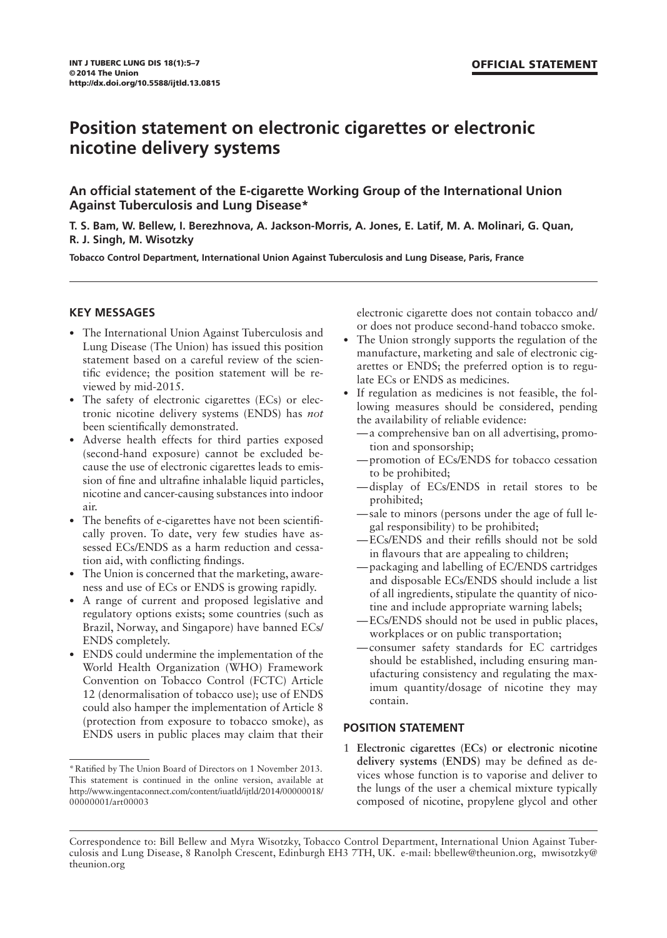# **Position statement on electronic cigarettes or electronic nicotine delivery systems**

**An official statement of the E-cigarette Working Group of the International Union Against Tuberculosis and Lung Disease\***

**T. S. Bam, W. Bellew, I. Berezhnova, A. Jackson-Morris, A. Jones, E. Latif, M. A. Molinari, G. Quan, R. J. Singh, M. Wisotzky**

**Tobacco Control Department, International Union Against Tuberculosis and Lung Disease, Paris, France** 

#### **KEY MESSAGES**

- The International Union Against Tuberculosis and Lung Disease (The Union) has issued this position statement based on a careful review of the scientific evidence; the position statement will be reviewed by mid-2015.
- The safety of electronic cigarettes (ECs) or electronic nicotine delivery systems (ENDS) has *not* been scientifically demonstrated.
- Adverse health effects for third parties exposed (second-hand exposure) cannot be excluded because the use of electronic cigarettes leads to emission of fine and ultrafine inhalable liquid particles, nicotine and cancer-causing substances into indoor air.
- The benefits of e-cigarettes have not been scientifically proven. To date, very few studies have assessed ECs/ENDS as a harm reduction and cessation aid, with conflicting findings.
- The Union is concerned that the marketing, awareness and use of ECs or ENDS is growing rapidly.
- A range of current and proposed legislative and regulatory options exists; some countries (such as Brazil, Norway, and Singapore) have banned ECs/ ENDS completely.
- ENDS could undermine the implementation of the World Health Organization (WHO) Framework Convention on Tobacco Control (FCTC) Article 12 (denormalisation of tobacco use); use of ENDS could also hamper the implementation of Article 8 (protection from exposure to tobacco smoke), as ENDS users in public places may claim that their

electronic cigarette does not contain tobacco and/ or does not produce second-hand tobacco smoke.

- The Union strongly supports the regulation of the manufacture, marketing and sale of electronic cigarettes or ENDS; the preferred option is to regulate ECs or ENDS as medicines.
- If regulation as medicines is not feasible, the following measures should be considered, pending the availability of reliable evidence:
	- a comprehensive ban on all advertising, promotion and sponsorship;
	- promotion of ECs/ENDS for tobacco cessation to be prohibited;
	- display of ECs/ENDS in retail stores to be prohibited;
	- sale to minors (persons under the age of full legal responsibility) to be prohibited;
	- -ECs/ENDS and their refills should not be sold in flavours that are appealing to children;
	- packaging and labelling of EC/ENDS cartridges and disposable ECs/ENDS should include a list of all ingredients, stipulate the quantity of nicotine and include appropriate warning labels;
	- ECs/ENDS should not be used in public places, workplaces or on public transportation;
	- consumer safety standards for EC cartridges should be established, including ensuring manufacturing consistency and regulating the maximum quantity/dosage of nicotine they may contain.

## **POSITION STATEMENT**

1 **Electronic cigarettes (ECs) or electronic nicotine**  delivery systems (ENDS) may be defined as devices whose function is to vaporise and deliver to the lungs of the user a chemical mixture typically composed of nicotine, propylene glycol and other

<sup>\*</sup>Ratified by The Union Board of Directors on 1 November 2013. This statement is continued in the online version, available at http://www.ingentaconnect.com/content/iuatld/ijtld/2014/00000018/ 00000001/art00003

Correspondence to: Bill Bellew and Myra Wisotzky, Tobacco Control Department, International Union Against Tuberculosis and Lung Disease, 8 Ranolph Crescent, Edinburgh EH3 7TH, UK. e-mail: bbellew@theunion.org, mwisotzky@ theunion.org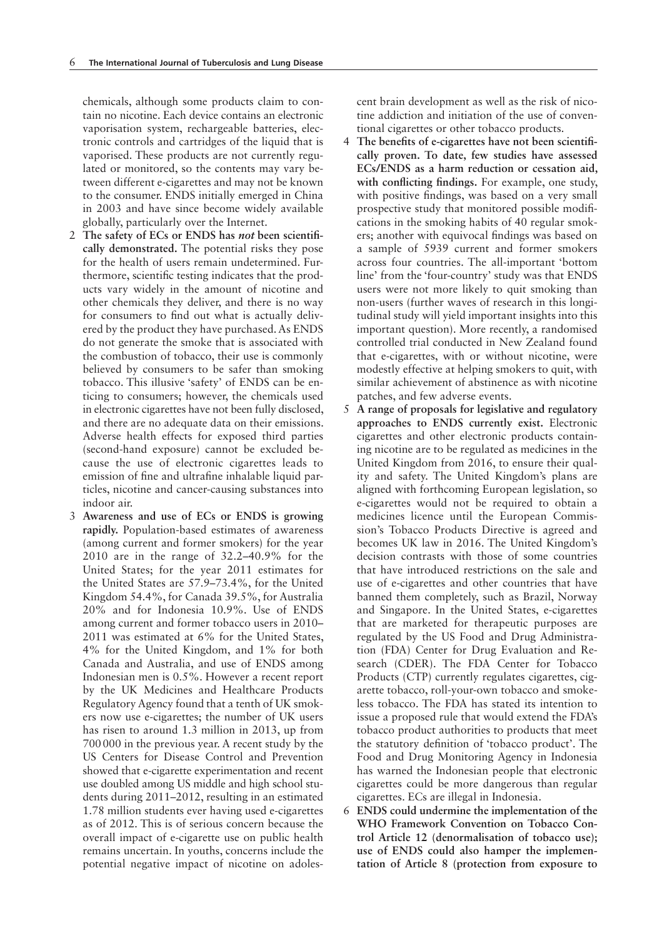chemicals, although some products claim to contain no nicotine. Each device contains an electronic vaporisation system, rechargeable batteries, electronic controls and cartridges of the liquid that is vaporised. These products are not currently regulated or monitored, so the contents may vary between different e-cigarettes and may not be known to the consumer. ENDS initially emerged in China in 2003 and have since become widely available globally, particularly over the Internet.

- 2 **The safety of ECs or ENDS has** *not* **been scientifi cally demonstrated.** The potential risks they pose for the health of users remain undetermined. Furthermore, scientific testing indicates that the products vary widely in the amount of nicotine and other chemicals they deliver, and there is no way for consumers to find out what is actually delivered by the product they have purchased. As ENDS do not generate the smoke that is associated with the combustion of tobacco, their use is commonly believed by consumers to be safer than smoking tobacco. This illusive 'safety' of ENDS can be enticing to consumers; however, the chemicals used in electronic cigarettes have not been fully disclosed, and there are no adequate data on their emissions. Adverse health effects for exposed third parties (second-hand exposure) cannot be excluded because the use of electronic cigarettes leads to emission of fine and ultrafine inhalable liquid particles, nicotine and cancer-causing substances into indoor air.
- 3 **Awareness and use of ECs or ENDS is growing rapidly.** Population-based estimates of awareness (among current and former smokers) for the year 2010 are in the range of 32.2–40.9% for the United States; for the year 2011 estimates for the United States are 57.9–73.4%, for the United Kingdom 54.4%, for Canada 39.5%, for Australia 20% and for Indonesia 10.9%. Use of ENDS among current and former tobacco users in 2010– 2011 was estimated at 6% for the United States, 4% for the United Kingdom, and 1% for both Canada and Australia, and use of ENDS among Indonesian men is 0.5%. However a recent report by the UK Medicines and Healthcare Products Regulatory Agency found that a tenth of UK smokers now use e-cigarettes; the number of UK users has risen to around 1.3 million in 2013, up from 700 000 in the previous year. A recent study by the US Centers for Disease Control and Prevention showed that e-cigarette experimentation and recent use doubled among US middle and high school students during 2011–2012, resulting in an estimated 1.78 million students ever having used e-cigarettes as of 2012. This is of serious concern because the overall impact of e-cigarette use on public health remains uncertain. In youths, concerns include the potential negative impact of nicotine on adoles-

cent brain development as well as the risk of nicotine addiction and initiation of the use of conventional cigarettes or other tobacco products.

- 4 The benefits of e-cigarettes have not been scientifi**cally proven. To date, few studies have assessed ECs/ENDS as a harm reduction or cessation aid,**  with conflicting findings. For example, one study, with positive findings, was based on a very small prospective study that monitored possible modifications in the smoking habits of 40 regular smokers; another with equivocal findings was based on a sample of 5939 current and former smokers across four countries. The all-important 'bottom line' from the 'four-country' study was that ENDS users were not more likely to quit smoking than non-users (further waves of research in this longitudinal study will yield important insights into this important question). More recently, a randomised controlled trial conducted in New Zealand found that e-cigarettes, with or without nicotine, were modestly effective at helping smokers to quit, with similar achievement of abstinence as with nicotine patches, and few adverse events.
- 5 **A range of proposals for legislative and regulatory approaches to ENDS currently exist.** Electronic cigarettes and other electronic products containing nicotine are to be regulated as medicines in the United Kingdom from 2016, to ensure their quality and safety. The United Kingdom's plans are aligned with forthcoming European legislation, so e-cigarettes would not be required to obtain a medicines licence until the European Commission's Tobacco Products Directive is agreed and becomes UK law in 2016. The United Kingdom's decision contrasts with those of some countries that have introduced restrictions on the sale and use of e-cigarettes and other countries that have banned them completely, such as Brazil, Norway and Singapore. In the United States, e-cigarettes that are marketed for therapeutic purposes are regulated by the US Food and Drug Administration (FDA) Center for Drug Evaluation and Research (CDER). The FDA Center for Tobacco Products (CTP) currently regulates cigarettes, cigarette tobacco, roll-your-own tobacco and smokeless tobacco. The FDA has stated its intention to issue a proposed rule that would extend the FDA's tobacco product authorities to products that meet the statutory definition of 'tobacco product'. The Food and Drug Monitoring Agency in Indonesia has warned the Indonesian people that electronic cigarettes could be more dangerous than regular cigarettes. ECs are illegal in Indonesia.
- 6 **ENDS could undermine the implementation of the WHO Framework Convention on Tobacco Control Article 12 (denormalisation of tobacco use); use of ENDS could also hamper the implementation of Article 8 (protection from exposure to**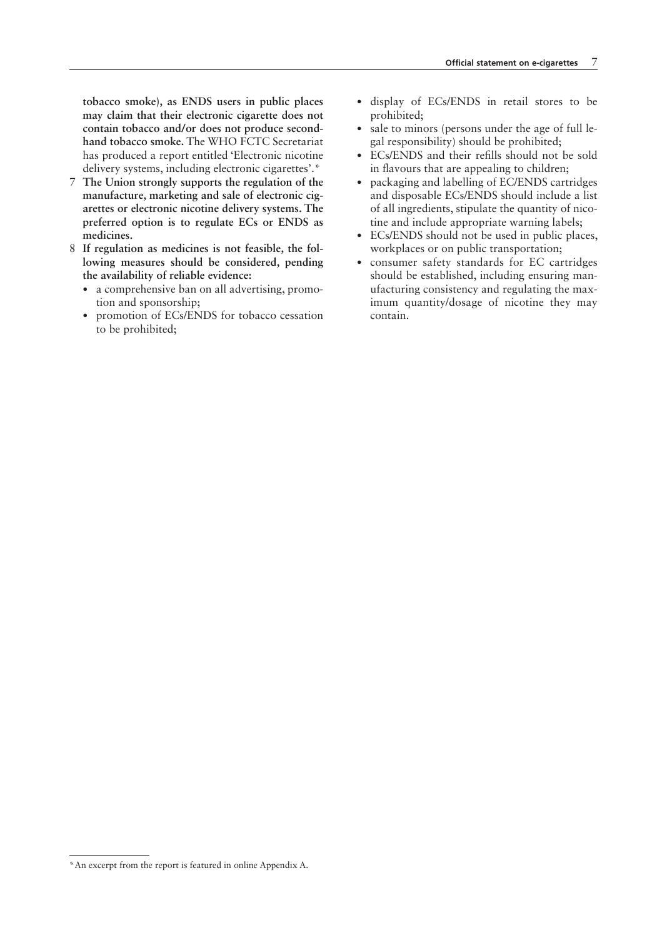**tobacco smoke), as ENDS users in public places may claim that their electronic cigarette does not contain tobacco and/or does not produce secondhand tobacco smoke.** The WHO FCTC Secretariat has produced a report entitled 'Electronic nicotine delivery systems, including electronic cigarettes'.\*

- 7 **The Union strongly supports the regulation of the manufacture, marketing and sale of electronic cigarettes or electronic nicotine delivery systems. The preferred option is to regulate ECs or ENDS as medicines.**
- 8 **If regulation as medicines is not feasible, the following measures should be considered, pending the availability of reliable evidence:**
	- a comprehensive ban on all advertising, promotion and sponsorship;
	- promotion of ECs/ENDS for tobacco cessation to be prohibited;
- display of ECs/ENDS in retail stores to be prohibited;
- sale to minors (persons under the age of full legal responsibility) should be prohibited;
- ECs/ENDS and their refills should not be sold in flavours that are appealing to children:
- packaging and labelling of EC/ENDS cartridges and disposable ECs/ENDS should include a list of all ingredients, stipulate the quantity of nicotine and include appropriate warning labels;
- ECs/ENDS should not be used in public places, workplaces or on public transportation;
- consumer safety standards for EC cartridges should be established, including ensuring manufacturing consistency and regulating the maximum quantity/dosage of nicotine they may contain.

<sup>\*</sup>An excerpt from the report is featured in online Appendix A.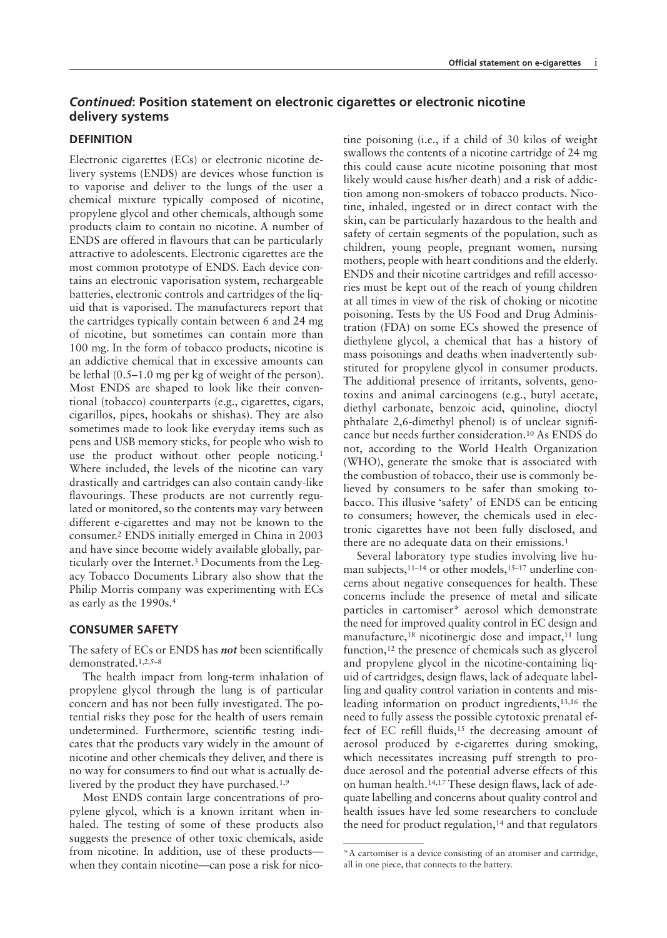# *Continued***: Position statement on electronic cigarettes or electronic nicotine delivery systems**

#### **DEFINITION**

Electronic cigarettes (ECs) or electronic nicotine delivery systems (ENDS) are devices whose function is to vaporise and deliver to the lungs of the user a chemical mixture typically composed of nicotine, propylene glycol and other chemicals, although some products claim to contain no nicotine. A number of ENDS are offered in flavours that can be particularly attractive to adolescents. Electronic cigarettes are the most common prototype of ENDS. Each device contains an electronic vaporisation system, rechargeable batteries, electronic controls and cartridges of the liquid that is vaporised. The manufacturers report that the cartridges typically contain between 6 and 24 mg of nicotine, but sometimes can contain more than 100 mg. In the form of tobacco products, nicotine is an addictive chemical that in excessive amounts can be lethal (0.5–1.0 mg per kg of weight of the person). Most ENDS are shaped to look like their conventional (tobacco) counterparts (e.g., cigarettes, cigars, cigarillos, pipes, hookahs or shishas). They are also sometimes made to look like everyday items such as pens and USB memory sticks, for people who wish to use the product without other people noticing.1 Where included, the levels of the nicotine can vary drastically and cartridges can also contain candy-like flavourings. These products are not currently regulated or monitored, so the contents may vary between different e-cigarettes and may not be known to the consumer.2 ENDS initially emerged in China in 2003 and have since become widely available globally, particularly over the Internet.3 Documents from the Legacy Tobacco Documents Library also show that the Philip Morris company was experimenting with ECs as early as the 1990s.4

#### **CONSUMER SAFETY**

The safety of ECs or ENDS has *not* been scientifically demonstrated.1,2,5–8

The health impact from long-term inhalation of propylene glycol through the lung is of particular concern and has not been fully investigated. The potential risks they pose for the health of users remain undetermined. Furthermore, scientific testing indicates that the products vary widely in the amount of nicotine and other chemicals they deliver, and there is no way for consumers to find out what is actually delivered by the product they have purchased.1,9

Most ENDS contain large concentrations of propylene glycol, which is a known irritant when inhaled. The testing of some of these products also suggests the presence of other toxic chemicals, aside from nicotine. In addition, use of these products when they contain nicotine—can pose a risk for nico-

tine poisoning (i.e., if a child of 30 kilos of weight swallows the contents of a nicotine cartridge of 24 mg this could cause acute nicotine poisoning that most likely would cause his/her death) and a risk of addiction among non-smokers of tobacco products. Nicotine, inhaled, ingested or in direct contact with the skin, can be particularly hazardous to the health and safety of certain segments of the population, such as children, young people, pregnant women, nursing mothers, people with heart conditions and the elderly. ENDS and their nicotine cartridges and refill accessories must be kept out of the reach of young children at all times in view of the risk of choking or nicotine poisoning. Tests by the US Food and Drug Administration (FDA) on some ECs showed the presence of diethylene glycol, a chemical that has a history of mass poisonings and deaths when inadvertently substituted for propylene glycol in consumer products. The additional presence of irritants, solvents, genotoxins and animal carcinogens (e.g., butyl acetate, diethyl carbonate, benzoic acid, quinoline, dioctyl phthalate  $2,6$ -dimethyl phenol) is of unclear significance but needs further consideration.10 As ENDS do not, according to the World Health Organization (WHO), generate the smoke that is associated with the combustion of tobacco, their use is commonly believed by consumers to be safer than smoking tobacco. This illusive 'safety' of ENDS can be enticing to consumers; however, the chemicals used in electronic cigarettes have not been fully disclosed, and there are no adequate data on their emissions.<sup>1</sup>

Several laboratory type studies involving live human subjects,<sup>11-14</sup> or other models,<sup>15-17</sup> underline concerns about negative consequences for health. These concerns include the presence of metal and silicate particles in cartomiser\* aerosol which demonstrate the need for improved quality control in EC design and manufacture,<sup>18</sup> nicotinergic dose and impact,<sup>11</sup> lung function,12 the presence of chemicals such as glycerol and propylene glycol in the nicotine-containing liquid of cartridges, design flaws, lack of adequate labelling and quality control variation in contents and misleading information on product ingredients,13,16 the need to fully assess the possible cytotoxic prenatal effect of EC refill fluids,<sup>15</sup> the decreasing amount of aerosol produced by e-cigarettes during smoking, which necessitates increasing puff strength to produce aerosol and the potential adverse effects of this on human health.<sup>14,17</sup> These design flaws, lack of adequate labelling and concerns about quality control and health issues have led some researchers to conclude the need for product regulation,<sup>14</sup> and that regulators

<sup>\*</sup>A cartomiser is a device consisting of an atomiser and cartridge, all in one piece, that connects to the battery.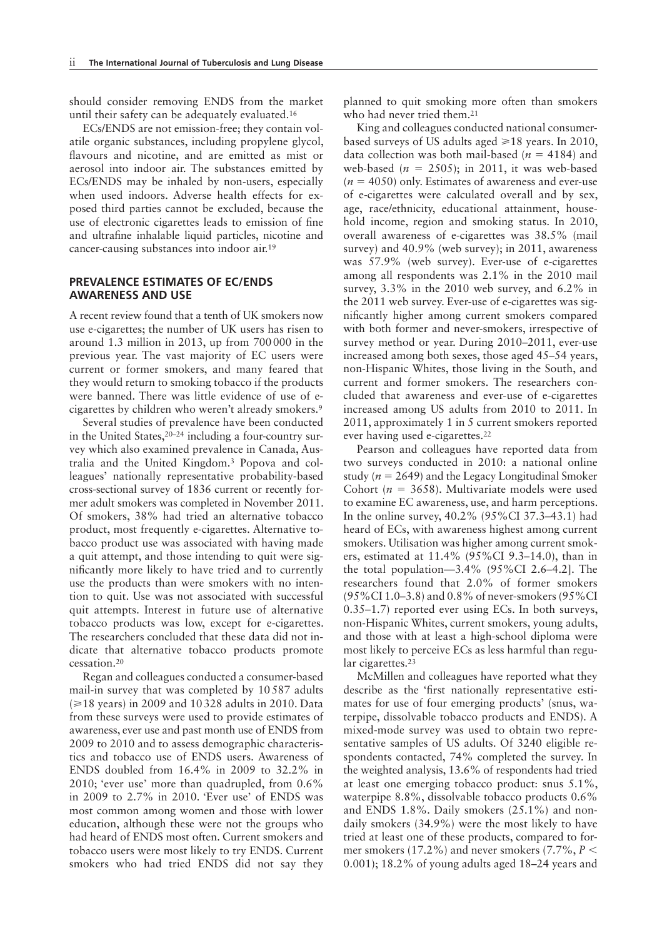should consider removing ENDS from the market until their safety can be adequately evaluated.16

ECs/ENDS are not emission-free; they contain volatile organic substances, including propylene glycol, flavours and nicotine, and are emitted as mist or aerosol into indoor air. The substances emitted by ECs/ENDS may be inhaled by non-users, especially when used indoors. Adverse health effects for exposed third parties cannot be excluded, because the use of electronic cigarettes leads to emission of fine and ultrafine inhalable liquid particles, nicotine and cancer-causing substances into indoor air.<sup>19</sup>

## **PREVALENCE ESTIMATES OF EC/ENDS AWARENESS AND USE**

A recent review found that a tenth of UK smokers now use e-cigarettes; the number of UK users has risen to around 1.3 million in 2013, up from 700 000 in the previous year. The vast majority of EC users were current or former smokers, and many feared that they would return to smoking tobacco if the products were banned. There was little evidence of use of ecigarettes by children who weren't already smokers.9

Several studies of prevalence have been conducted in the United States,20–24 including a four-country survey which also examined prevalence in Canada, Australia and the United Kingdom.3 Popova and colleagues' nationally representative probability-based cross-sectional survey of 1836 current or recently former adult smokers was completed in November 2011. Of smokers, 38% had tried an alternative tobacco product, most frequently e-cigarettes. Alternative tobacco product use was associated with having made a quit attempt, and those intending to quit were significantly more likely to have tried and to currently use the products than were smokers with no intention to quit. Use was not associated with successful quit attempts. Interest in future use of alternative tobacco products was low, except for e-cigarettes. The researchers concluded that these data did not indicate that alternative tobacco products promote cessation.20

Regan and colleagues conducted a consumer-based mail-in survey that was completed by 10 587 adults  $(\geq 18 \text{ years})$  in 2009 and 10 328 adults in 2010. Data from these surveys were used to provide estimates of awareness, ever use and past month use of ENDS from 2009 to 2010 and to assess demographic characteristics and tobacco use of ENDS users. Awareness of ENDS doubled from 16.4% in 2009 to 32.2% in 2010; 'ever use' more than quadrupled, from 0.6% in 2009 to 2.7% in 2010. 'Ever use' of ENDS was most common among women and those with lower education, although these were not the groups who had heard of ENDS most often. Current smokers and tobacco users were most likely to try ENDS. Current smokers who had tried ENDS did not say they

planned to quit smoking more often than smokers who had never tried them.<sup>21</sup>

King and colleagues conducted national consumerbased surveys of US adults aged  $\geq 18$  years. In 2010, data collection was both mail-based ( $n = 4184$ ) and web-based  $(n = 2505)$ ; in 2011, it was web-based  $(n = 4050)$  only. Estimates of awareness and ever-use of e-cigarettes were calculated overall and by sex, age, race/ethnicity, educational attainment, household income, region and smoking status. In 2010, overall awareness of e-cigarettes was 38.5% (mail survey) and 40.9% (web survey); in 2011, awareness was 57.9% (web survey). Ever-use of e-cigarettes among all respondents was 2.1% in the 2010 mail survey, 3.3% in the 2010 web survey, and 6.2% in the 2011 web survey. Ever-use of e-cigarettes was significantly higher among current smokers compared with both former and never-smokers, irrespective of survey method or year. During 2010–2011, ever-use increased among both sexes, those aged 45–54 years, non-Hispanic Whites, those living in the South, and current and former smokers. The researchers concluded that awareness and ever-use of e-cigarettes increased among US adults from 2010 to 2011. In 2011, approximately 1 in 5 current smokers reported ever having used e-cigarettes.22

Pearson and colleagues have reported data from two surveys conducted in 2010: a national online study ( $n = 2649$ ) and the Legacy Longitudinal Smoker Cohort (*n* = 3658). Multivariate models were used to examine EC awareness, use, and harm perceptions. In the online survey, 40.2% (95%CI 37.3–43.1) had heard of ECs, with awareness highest among current smokers. Utilisation was higher among current smokers, estimated at 11.4% (95%CI 9.3–14.0), than in the total population—3.4% (95%CI 2.6–4.2]. The researchers found that 2.0% of former smokers (95%CI 1.0–3.8) and 0.8% of never-smokers (95%CI 0.35–1.7) reported ever using ECs. In both surveys, non-Hispanic Whites, current smokers, young adults, and those with at least a high-school diploma were most likely to perceive ECs as less harmful than regular cigarettes.<sup>23</sup>

McMillen and colleagues have reported what they describe as the 'first nationally representative estimates for use of four emerging products' (snus, waterpipe, dissolvable tobacco products and ENDS). A mixed-mode survey was used to obtain two representative samples of US adults. Of 3240 eligible respondents contacted, 74% completed the survey. In the weighted analysis, 13.6% of respondents had tried at least one emerging tobacco product: snus 5.1%, waterpipe 8.8%, dissolvable tobacco products 0.6% and ENDS 1.8%. Daily smokers (25.1%) and nondaily smokers (34.9%) were the most likely to have tried at least one of these products, compared to former smokers (17.2%) and never smokers (7.7%, *P* < 0.001); 18.2% of young adults aged 18–24 years and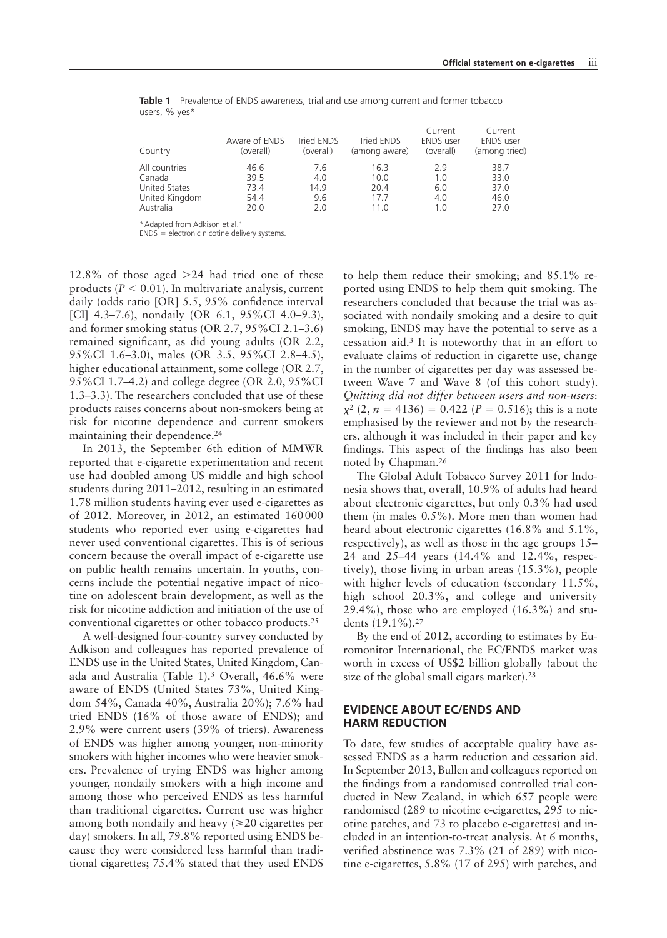| Country              | Aware of ENDS<br>(overall) | Tried ENDS<br>(overall) | Tried ENDS<br>(among aware) | Current<br><b>ENDS</b> user<br>(overall) | Current<br><b>ENDS</b> user<br>(among tried) |
|----------------------|----------------------------|-------------------------|-----------------------------|------------------------------------------|----------------------------------------------|
| All countries        | 46.6                       | 7.6                     | 16.3                        | 2.9                                      | 38.7                                         |
| Canada               | 39.5                       | 4.0                     | 10.0                        | 1.0                                      | 33.0                                         |
| <b>United States</b> | 73.4                       | 14.9                    | 20.4                        | 6.0                                      | 37.0                                         |
| United Kingdom       | 54.4                       | 9.6                     | 17.7                        | 4.0                                      | 46.0                                         |
| Australia            | 20.0                       | 2.0                     | 11 N                        | 1.0                                      | 27.0                                         |

**Table 1** Prevalence of ENDS awareness, trial and use among current and former tobacco users, % yes<sup>\*</sup>

\*Adapted from Adkison et al.3

ENDS = electronic nicotine delivery systems.

12.8% of those aged >24 had tried one of these products (*P* < 0.01). In multivariate analysis, current daily (odds ratio [OR]  $5.5$ ,  $95\%$  confidence interval [CI] 4.3–7.6), nondaily (OR 6.1, 95%CI 4.0–9.3), and former smoking status (OR 2.7, 95%CI 2.1–3.6) remained significant, as did young adults (OR 2.2, 95%CI 1.6–3.0), males (OR 3.5, 95%CI 2.8–4.5), higher educational attainment, some college (OR 2.7, 95%CI 1.7–4.2) and college degree (OR 2.0, 95%CI 1.3–3.3). The researchers concluded that use of these products raises concerns about non-smokers being at risk for nicotine dependence and current smokers maintaining their dependence.<sup>24</sup>

In 2013, the September 6th edition of MMWR reported that e-cigarette experimentation and recent use had doubled among US middle and high school students during 2011–2012, resulting in an estimated 1.78 million students having ever used e-cigarettes as of 2012. Moreover, in 2012, an estimated 160 000 students who reported ever using e-cigarettes had never used conventional cigarettes. This is of serious concern because the overall impact of e-cigarette use on public health remains uncertain. In youths, concerns include the potential negative impact of nicotine on adolescent brain development, as well as the risk for nicotine addiction and initiation of the use of conventional cigarettes or other tobacco products.25

A well-designed four-country survey conducted by Adkison and colleagues has reported prevalence of ENDS use in the United States, United Kingdom, Canada and Australia (Table 1).3 Overall, 46.6% were aware of ENDS (United States 73%, United Kingdom 54%, Canada 40%, Australia 20%); 7.6% had tried ENDS (16% of those aware of ENDS); and 2.9% were current users (39% of triers). Awareness of ENDS was higher among younger, non-minority smokers with higher incomes who were heavier smokers. Prevalence of trying ENDS was higher among younger, nondaily smokers with a high income and among those who perceived ENDS as less harmful than traditional cigarettes. Current use was higher among both nondaily and heavy  $(\geq 20)$  cigarettes per day) smokers. In all, 79.8% reported using ENDS because they were considered less harmful than traditional cigarettes; 75.4% stated that they used ENDS

to help them reduce their smoking; and 85.1% reported using ENDS to help them quit smoking. The researchers concluded that because the trial was associated with nondaily smoking and a desire to quit smoking, ENDS may have the potential to serve as a cessation aid.3 It is noteworthy that in an effort to evaluate claims of reduction in cigarette use, change in the number of cigarettes per day was assessed between Wave 7 and Wave 8 (of this cohort study). *Quitting did not differ between users and non-users*:  $x^{2}$  (2,  $n = 4136$ ) = 0.422 ( $P = 0.516$ ); this is a note emphasised by the reviewer and not by the researchers, although it was included in their paper and key findings. This aspect of the findings has also been noted by Chapman.26

The Global Adult Tobacco Survey 2011 for Indonesia shows that, overall, 10.9% of adults had heard about electronic cigarettes, but only 0.3% had used them (in males 0.5%). More men than women had heard about electronic cigarettes (16.8% and 5.1%, respectively), as well as those in the age groups 15– 24 and 25–44 years (14.4% and 12.4%, respectively), those living in urban areas (15.3%), people with higher levels of education (secondary 11.5%, high school 20.3%, and college and university 29.4%), those who are employed (16.3%) and students (19.1%).27

By the end of 2012, according to estimates by Euromonitor International, the EC/ENDS market was worth in excess of US\$2 billion globally (about the size of the global small cigars market).<sup>28</sup>

## **EVIDENCE ABOUT EC/ENDS AND HARM REDUCTION**

To date, few studies of acceptable quality have assessed ENDS as a harm reduction and cessation aid. In September 2013, Bullen and colleagues reported on the findings from a randomised controlled trial conducted in New Zealand, in which 657 people were randomised (289 to nicotine e-cigarettes, 295 to nicotine patches, and 73 to placebo e-cigarettes) and included in an intention-to-treat analysis. At 6 months, verified abstinence was  $7.3\%$  (21 of 289) with nicotine e-cigarettes, 5.8% (17 of 295) with patches, and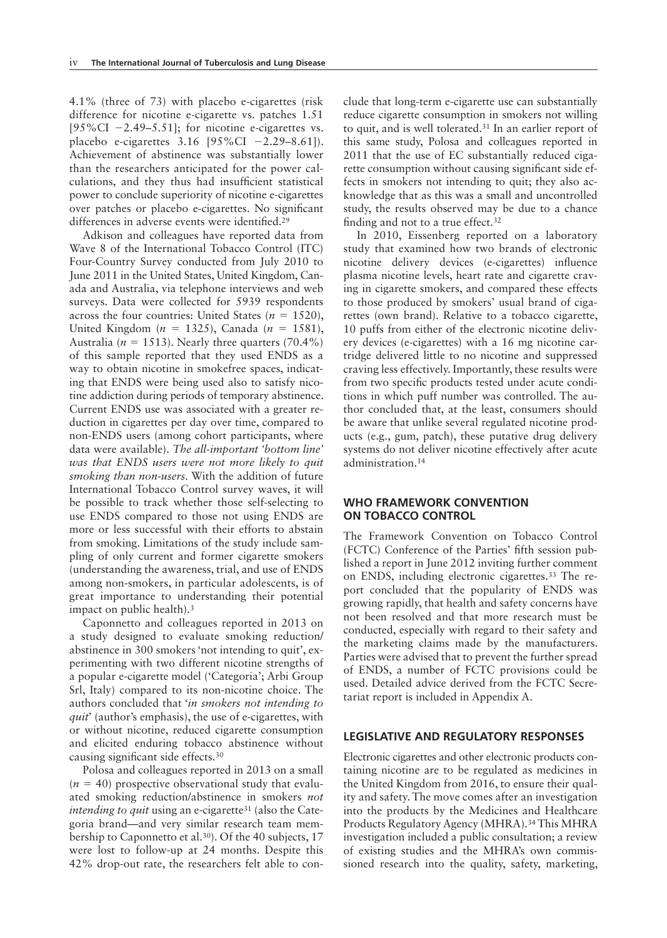4.1% (three of 73) with placebo e-cigarettes (risk difference for nicotine e-cigarette vs. patches 1.51 [ $95\%$ CI  $-2.49-5.51$ ]; for nicotine e-cigarettes vs. placebo e-cigarettes 3.16 [95%CI −2.29–8.61]). Achievement of abstinence was substantially lower than the researchers anticipated for the power calculations, and they thus had insufficient statistical power to conclude superiority of nicotine e-cigarettes over patches or placebo e-cigarettes. No significant differences in adverse events were identified.<sup>29</sup>

Adkison and colleagues have reported data from Wave 8 of the International Tobacco Control (ITC) Four-Country Survey conducted from July 2010 to June 2011 in the United States, United Kingdom, Canada and Australia, via telephone interviews and web surveys. Data were collected for 5939 respondents across the four countries: United States ( $n = 1520$ ), United Kingdom (*n* = 1325), Canada (*n* = 1581), Australia ( $n = 1513$ ). Nearly three quarters (70.4%) of this sample reported that they used ENDS as a way to obtain nicotine in smokefree spaces, indicating that ENDS were being used also to satisfy nicotine addiction during periods of temporary abstinence. Current ENDS use was associated with a greater reduction in cigarettes per day over time, compared to non-ENDS users (among cohort participants, where data were available). The all-important 'bottom line' *was that ENDS users were not more likely to quit smoking than non-users.* With the addition of future International Tobacco Control survey waves, it will be possible to track whether those self-selecting to use ENDS compared to those not using ENDS are more or less successful with their efforts to abstain from smoking. Limitations of the study include sampling of only current and former cigarette smokers (understanding the awareness, trial, and use of ENDS among non-smokers, in particular adolescents, is of great importance to understanding their potential impact on public health).3

Caponnetto and colleagues reported in 2013 on a study designed to evaluate smoking reduction/ a bstinence in 300 smokers 'not intending to quit', experimenting with two different nicotine strengths of a popular e-cigarette model ('Categoria'; Arbi Group Srl, Italy) compared to its non-nicotine choice. The authors concluded that '*in smokers not intending to quit*' (author's emphasis), the use of e-cigarettes, with or without nicotine, reduced cigarette consumption and elicited enduring tobacco abstinence without causing significant side effects.<sup>30</sup>

Polosa and colleagues reported in 2013 on a small  $(n = 40)$  prospective observational study that evaluated smoking reduction/abstinence in smokers *not intending to quit* using an e-cigarette<sup>31</sup> (also the Categoria brand—and very similar research team membership to Caponnetto et al.30). Of the 40 subjects, 17 were lost to follow-up at 24 months. Despite this 42% drop-out rate, the researchers felt able to conclude that long-term e-cigarette use can substantially reduce cigarette consumption in smokers not willing to quit, and is well tolerated.31 In an earlier report of this same study, Polosa and colleagues reported in 2011 that the use of EC substantially reduced cigarette consumption without causing significant side effects in smokers not intending to quit; they also acknowledge that as this was a small and uncontrolled study, the results observed may be due to a chance finding and not to a true effect. $32$ 

In 2010, Eissenberg reported on a laboratory study that examined how two brands of electronic nicotine delivery devices (e-cigarettes) influence plasma nicotine levels, heart rate and cigarette craving in cigarette smokers, and compared these effects to those produced by smokers' usual brand of cigarettes (own brand). Relative to a tobacco cigarette, 10 puffs from either of the electronic nicotine delivery devices (e-cigarettes) with a 16 mg nicotine cartridge delivered little to no nicotine and suppressed craving less effectively. Importantly, these results were from two specific products tested under acute conditions in which puff number was controlled. The author concluded that, at the least, consumers should be aware that unlike several regulated nicotine products (e.g., gum, patch), these putative drug delivery systems do not deliver nicotine effectively after acute administration.14

### **WHO FRAMEWORK CONVENTION ON TOBACCO CONTROL**

The Framework Convention on Tobacco Control (FCTC) Conference of the Parties' fifth session published a report in June 2012 inviting further comment on ENDS, including electronic cigarettes.33 The report concluded that the popularity of ENDS was growing rapidly, that health and safety concerns have not been resolved and that more research must be conducted, especially with regard to their safety and the marketing claims made by the manufacturers. Parties were advised that to prevent the further spread of ENDS, a number of FCTC provisions could be used. Detailed advice derived from the FCTC Secretariat report is included in Appendix A.

#### **LEGISLATIVE AND REGULATORY RESPONSES**

Electronic cigarettes and other electronic products containing nicotine are to be regulated as medicines in the United Kingdom from 2016, to ensure their quality and safety. The move comes after an investigation into the products by the Medicines and Healthcare Products Regulatory Agency (MHRA).34 This MHRA investigation included a public consultation; a review of existing studies and the MHRA's own commissioned research into the quality, safety, marketing,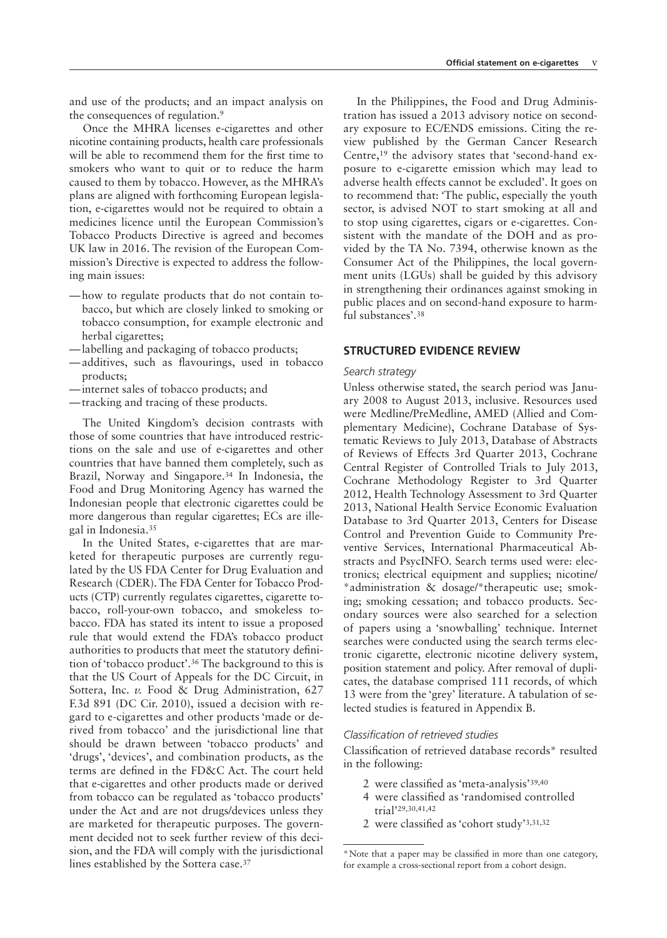and use of the products; and an impact analysis on the consequences of regulation.<sup>9</sup>

Once the MHRA licenses e-cigarettes and other nicotine containing products, health care professionals will be able to recommend them for the first time to smokers who want to quit or to reduce the harm caused to them by tobacco. However, as the MHRA's plans are aligned with forthcoming European legislation, e-cigarettes would not be required to obtain a medicines licence until the European Commission's Tobacco Products Directive is agreed and becomes UK law in 2016. The revision of the European Commission's Directive is expected to address the following main issues:

- how to regulate products that do not contain tobacco, but which are closely linked to smoking or tobacco consumption, for example electronic and herbal cigarettes;
- labelling and packaging of tobacco products;
- additives, such as flavourings, used in tobacco products;
- internet sales of tobacco products; and
- tracking and tracing of these products.

The United Kingdom's decision contrasts with those of some countries that have introduced restrictions on the sale and use of e-cigarettes and other countries that have banned them completely, such as Brazil, Norway and Singapore.34 In Indonesia, the Food and Drug Monitoring Agency has warned the Indonesian people that electronic cigarettes could be more dangerous than regular cigarettes; ECs are illegal in Indonesia.35

In the United States, e-cigarettes that are marketed for therapeutic purposes are currently regulated by the US FDA Center for Drug Evaluation and Research (CDER). The FDA Center for Tobacco Products (CTP) currently regulates cigarettes, cigarette tobacco, roll-your-own tobacco, and smokeless tobacco. FDA has stated its intent to issue a proposed rule that would extend the FDA's tobacco product authorities to products that meet the statutory definition of 'tobacco product'.36 The background to this is that the US Court of Appeals for the DC Circuit, in Sottera, Inc. *v.* Food & Drug Administration, 627 F.3d 891 (DC Cir. 2010), issued a decision with regard to e-cigarettes and other products 'made or derived from tobacco' and the jurisdictional line that should be drawn between 'tobacco products' and 'drugs', 'devices', and combination products, as the terms are defined in the FD&C Act. The court held that e-cigarettes and other products made or derived from tobacco can be regulated as 'tobacco products' under the Act and are not drugs/devices unless they are marketed for therapeutic purposes. The government decided not to seek further review of this decision, and the FDA will comply with the jurisdictional lines established by the Sottera case.37

In the Philippines, the Food and Drug Administration has issued a 2013 advisory notice on secondary exposure to EC/ENDS emissions. Citing the review published by the German Cancer Research Centre,19 the advisory states that 'second-hand exposure to e-cigarette emission which may lead to adverse health effects cannot be excluded'. It goes on to recommend that: 'The public, especially the youth sector, is advised NOT to start smoking at all and to stop using cigarettes, cigars or e-cigarettes. Consistent with the mandate of the DOH and as provided by the TA No. 7394, otherwise known as the Consumer Act of the Philippines, the local government units (LGUs) shall be guided by this advisory in strengthening their ordinances against smoking in public places and on second-hand exposure to harmful substances'.38

## **STRUCTURED EVIDENCE REVIEW**

#### *Search strategy*

Unless otherwise stated, the search period was January 2008 to August 2013, inclusive. Resources used were Medline/PreMedline, AMED (Allied and Complementary Medicine), Cochrane Database of Systematic Reviews to July 2013, Database of Abstracts of Reviews of Effects 3rd Quarter 2013, Cochrane Central Register of Controlled Trials to July 2013, Cochrane Methodology Register to 3rd Quarter 2012, Health Technology Assessment to 3rd Quarter 2013, National Health Service Economic Evaluation Database to 3rd Quarter 2013, Centers for Disease Control and Prevention Guide to Community Preventive Services, International Pharmaceutical Abstracts and PsycINFO. Search terms used were: electronics; electrical equipment and supplies; nicotine/ \*administration & dosage/\*therapeutic use; smoking; smoking cessation; and tobacco products. Secondary sources were also searched for a selection of papers using a 'snowballing' technique. Internet searches were conducted using the search terms electronic cigarette, electronic nicotine delivery system, position statement and policy. After removal of duplicates, the database comprised 111 records, of which 13 were from the 'grey' literature. A tabulation of selected studies is featured in Appendix B.

#### *Classification of retrieved studies*

Classification of retrieved database records\* resulted in the following:

- 2 were classified as 'meta-analysis' $39,40$
- 4 were classified as 'randomised controlled trial'29,30,41,42
- 2 were classified as 'cohort study'  $3,31,32$

<sup>\*</sup>Note that a paper may be classified in more than one category, for example a cross-sectional report from a cohort design.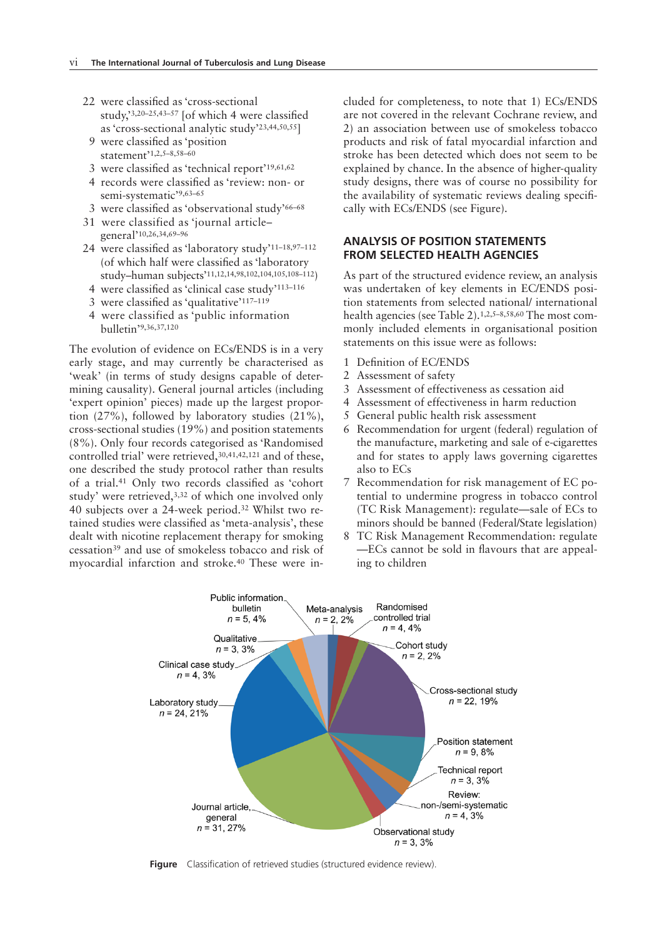- 22 were classified as 'cross-sectional study,'3,20-25,43-57 [of which 4 were classified as 'cross-sectional analytic study'23,44,50,55]
	- 9 were classified as 'position statement<sup>21,2,5–8,58–60</sup>
	- 3 were classified as 'technical report'<sup>19,61,62</sup>
	- 4 records were classified as 'review: non- or semi-systematic'9,63–65
- 3 were classified as 'observational study'66-68
- 31 were classified as 'journal article– general'10,26,34,69–96
- 24 were classified as 'laboratory study'<sup>11-18,97-112</sup> (of which half were classified as 'laboratory study–human subjects'11,12,14,98,102,104,105,108–112)
- 4 were classified as 'clinical case study'<sup>113-116</sup>
- 3 were classified as 'qualitative'<sup>117-119</sup>
- 4 were classified as 'public information bulletin'9,36,37,120

The evolution of evidence on ECs/ENDS is in a very early stage, and may currently be characterised as 'weak' (in terms of study designs capable of determining causality). General journal articles (including 'expert opinion' pieces) made up the largest proportion (27%), followed by laboratory studies (21%), cross-sectional studies (19%) and position statements (8%). Only four records categorised as 'Randomised controlled trial' were retrieved,30,41,42,121 and of these, one described the study protocol rather than results of a trial.<sup>41</sup> Only two records classified as 'cohort study' were retrieved,3,32 of which one involved only 40 subjects over a 24-week period.32 Whilst two retained studies were classified as 'meta-analysis', these dealt with nicotine replacement therapy for smoking cessation39 and use of smokeless tobacco and risk of myocardial infarction and stroke.40 These were included for completeness, to note that 1) ECs/ENDS are not covered in the relevant Cochrane review, and 2) an association between use of smokeless tobacco products and risk of fatal myocardial infarction and stroke has been detected which does not seem to be explained by chance. In the absence of higher-quality study designs, there was of course no possibility for the availability of systematic reviews dealing specifically with ECs/ENDS (see Figure).

## **ANALYSIS OF POSITION STATEMENTS FROM SELECTED HEALTH AGENCIES**

As part of the structured evidence review, an analysis was undertaken of key elements in EC/ENDS position statements from selected national/ international health agencies (see Table 2).1,2,5–8,58,60 The most commonly included elements in organisational position statements on this issue were as follows:

- 1 Definition of EC/ENDS
- 2 Assessment of safety
- 3 Assessment of effectiveness as cessation aid
- 4 Assessment of effectiveness in harm reduction
- 5 General public health risk assessment
- 6 Recommendation for urgent (federal) regulation of the manufacture, marketing and sale of e-cigarettes and for states to apply laws governing cigarettes also to ECs
- 7 Recommendation for risk management of EC potential to undermine progress in tobacco control (TC Risk Management): regulate—sale of ECs to minors should be banned (Federal/State legislation)
- 8 TC Risk Management Recommendation: regulate —ECs cannot be sold in flavours that are appealing to children



Figure Classification of retrieved studies (structured evidence review).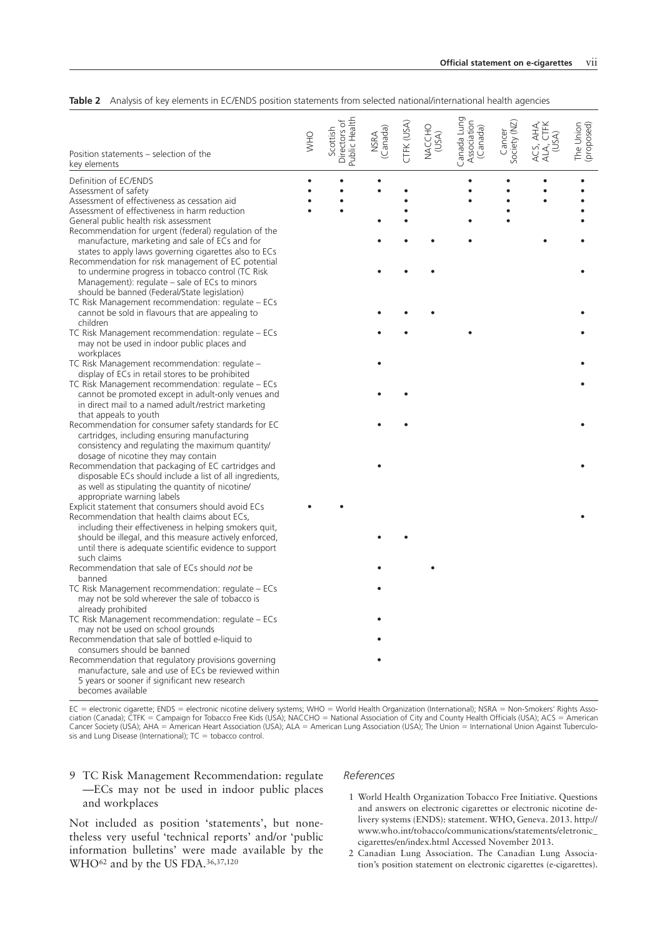| Position statements - selection of the<br>key elements                                                           | <b>OHW</b> | Public Health<br>Directors of<br>Scottish | NSRA<br>(Canada) | CTFK (USA) | NACCHO<br>(USA) | Canada Lung<br>Association<br>(Canada) | Society (NZ)<br>Cancer | ACS, AHA,<br>ALA, CTFK<br>(USA) | The Union<br>(proposed) |
|------------------------------------------------------------------------------------------------------------------|------------|-------------------------------------------|------------------|------------|-----------------|----------------------------------------|------------------------|---------------------------------|-------------------------|
| Definition of EC/ENDS                                                                                            |            |                                           |                  |            |                 | $\bullet$                              |                        | $\bullet$                       |                         |
| Assessment of safety                                                                                             |            |                                           |                  |            |                 |                                        |                        |                                 |                         |
| Assessment of effectiveness as cessation aid                                                                     |            |                                           |                  |            |                 |                                        |                        |                                 |                         |
| Assessment of effectiveness in harm reduction                                                                    |            |                                           |                  |            |                 |                                        |                        |                                 |                         |
| General public health risk assessment                                                                            |            |                                           |                  |            |                 |                                        |                        |                                 |                         |
| Recommendation for urgent (federal) regulation of the                                                            |            |                                           |                  |            |                 |                                        |                        |                                 |                         |
| manufacture, marketing and sale of ECs and for                                                                   |            |                                           |                  |            |                 |                                        |                        |                                 |                         |
| states to apply laws governing cigarettes also to ECs<br>Recommendation for risk management of EC potential      |            |                                           |                  |            |                 |                                        |                        |                                 |                         |
| to undermine progress in tobacco control (TC Risk                                                                |            |                                           |                  |            |                 |                                        |                        |                                 |                         |
| Management): regulate – sale of ECs to minors                                                                    |            |                                           |                  |            |                 |                                        |                        |                                 |                         |
| should be banned (Federal/State legislation)                                                                     |            |                                           |                  |            |                 |                                        |                        |                                 |                         |
| TC Risk Management recommendation: regulate - ECs                                                                |            |                                           |                  |            |                 |                                        |                        |                                 |                         |
| cannot be sold in flavours that are appealing to                                                                 |            |                                           |                  |            |                 |                                        |                        |                                 |                         |
| children                                                                                                         |            |                                           |                  |            |                 |                                        |                        |                                 |                         |
| TC Risk Management recommendation: regulate – ECs                                                                |            |                                           |                  |            |                 |                                        |                        |                                 |                         |
| may not be used in indoor public places and<br>workplaces                                                        |            |                                           |                  |            |                 |                                        |                        |                                 |                         |
| TC Risk Management recommendation: regulate -                                                                    |            |                                           |                  |            |                 |                                        |                        |                                 |                         |
| display of ECs in retail stores to be prohibited                                                                 |            |                                           |                  |            |                 |                                        |                        |                                 |                         |
| TC Risk Management recommendation: regulate – ECs                                                                |            |                                           |                  |            |                 |                                        |                        |                                 |                         |
| cannot be promoted except in adult-only venues and                                                               |            |                                           |                  |            |                 |                                        |                        |                                 |                         |
| in direct mail to a named adult/restrict marketing                                                               |            |                                           |                  |            |                 |                                        |                        |                                 |                         |
| that appeals to youth                                                                                            |            |                                           |                  |            |                 |                                        |                        |                                 |                         |
| Recommendation for consumer safety standards for EC                                                              |            |                                           |                  |            |                 |                                        |                        |                                 |                         |
| cartridges, including ensuring manufacturing                                                                     |            |                                           |                  |            |                 |                                        |                        |                                 |                         |
| consistency and regulating the maximum quantity/<br>dosage of nicotine they may contain                          |            |                                           |                  |            |                 |                                        |                        |                                 |                         |
| Recommendation that packaging of EC cartridges and                                                               |            |                                           |                  |            |                 |                                        |                        |                                 |                         |
| disposable ECs should include a list of all ingredients,                                                         |            |                                           |                  |            |                 |                                        |                        |                                 |                         |
| as well as stipulating the quantity of nicotine/                                                                 |            |                                           |                  |            |                 |                                        |                        |                                 |                         |
| appropriate warning labels                                                                                       |            |                                           |                  |            |                 |                                        |                        |                                 |                         |
| Explicit statement that consumers should avoid ECs                                                               |            |                                           |                  |            |                 |                                        |                        |                                 |                         |
| Recommendation that health claims about ECs,                                                                     |            |                                           |                  |            |                 |                                        |                        |                                 |                         |
| including their effectiveness in helping smokers quit,                                                           |            |                                           |                  |            |                 |                                        |                        |                                 |                         |
| should be illegal, and this measure actively enforced,<br>until there is adequate scientific evidence to support |            |                                           |                  |            |                 |                                        |                        |                                 |                         |
| such claims                                                                                                      |            |                                           |                  |            |                 |                                        |                        |                                 |                         |
| Recommendation that sale of ECs should not be                                                                    |            |                                           |                  |            |                 |                                        |                        |                                 |                         |
| banned                                                                                                           |            |                                           |                  |            |                 |                                        |                        |                                 |                         |
| TC Risk Management recommendation: regulate – ECs                                                                |            |                                           |                  |            |                 |                                        |                        |                                 |                         |
| may not be sold wherever the sale of tobacco is                                                                  |            |                                           |                  |            |                 |                                        |                        |                                 |                         |
| already prohibited                                                                                               |            |                                           |                  |            |                 |                                        |                        |                                 |                         |
| TC Risk Management recommendation: regulate - ECs                                                                |            |                                           |                  |            |                 |                                        |                        |                                 |                         |
| may not be used on school grounds<br>Recommendation that sale of bottled e-liquid to                             |            |                                           |                  |            |                 |                                        |                        |                                 |                         |
| consumers should be banned                                                                                       |            |                                           |                  |            |                 |                                        |                        |                                 |                         |
| Recommendation that regulatory provisions governing                                                              |            |                                           |                  |            |                 |                                        |                        |                                 |                         |
| manufacture, sale and use of ECs be reviewed within                                                              |            |                                           |                  |            |                 |                                        |                        |                                 |                         |
| 5 years or sooner if significant new research                                                                    |            |                                           |                  |            |                 |                                        |                        |                                 |                         |
| becomes available                                                                                                |            |                                           |                  |            |                 |                                        |                        |                                 |                         |

#### **Table 2** Analysis of key elements in EC/ENDS position statements from selected national/international health agencies

EC = electronic cigarette; ENDS = electronic nicotine delivery systems; WHO = World Health Organization (International); NSRA = Non-Smokers' Rights Association (Canada); CTFK = Campaign for Tobacco Free Kids (USA); NACCHO = National Association of City and County Health Officials (USA); ACS = American Cancer Society (USA); AHA = American Heart Association (USA); ALA = American Lung Association (USA); The Union = International Union Against Tuberculosis and Lung Disease (International);  $TC =$  tobacco control.

9 TC Risk Management Recommendation: regulate —ECs may not be used in indoor public places and workplaces

#### *References*

Not included as position 'statements', but nonetheless very useful 'technical reports' and/or 'public information bulletins' were made available by the WHO62 and by the US FDA.36,37,120

- 1 World Health Organization Tobacco Free Initiative. Questions and answers on electronic cigarettes or electronic nicotine delivery systems (ENDS): statement. WHO, Geneva. 2013. http:// www.who.int/tobacco/communications/statements/eletronic\_ cigarettes/en/index.html Accessed November 2013.
- 2 Canadian Lung Association. The Canadian Lung Association's position statement on electronic cigarettes (e-cigarettes).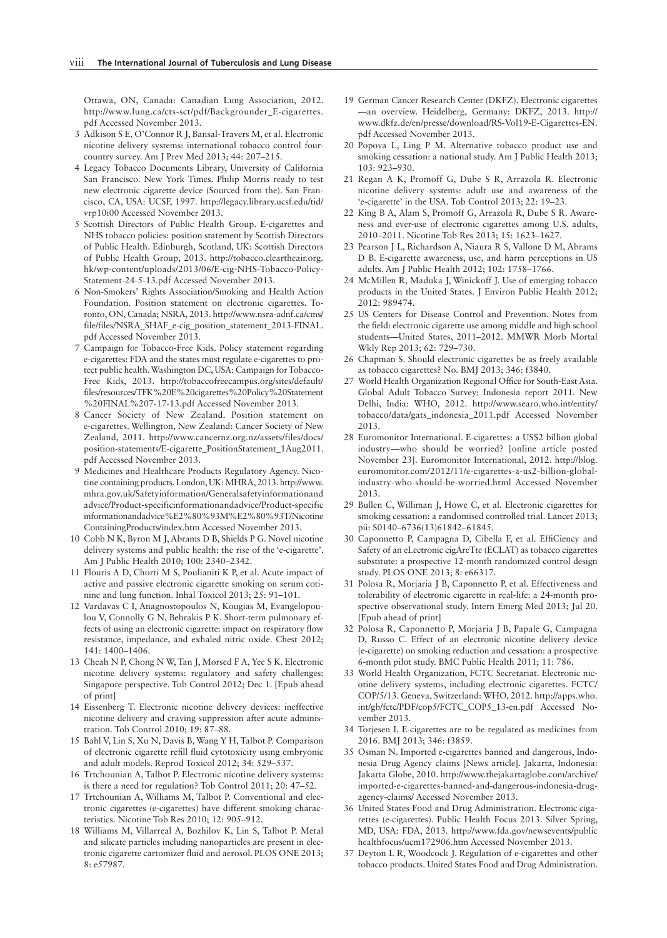Ottawa, ON, Canada: Canadian Lung Association, 2012. http://www.lung.ca/cts-sct/pdf/Backgrounder\_E-cigarettes. pdf Accessed November 2013.

- 3 Adkison S E, O'Connor R J, Bansal-Travers M, et al. Electronic nicotine delivery systems: international tobacco control fourcountry survey. Am J Prev Med 2013; 44: 207–215.
- 4 Legacy Tobacco Documents Library, University of California San Francisco. New York Times. Philip Morris ready to test new electronic cigarette device (Sourced from the). San Francisco, CA, USA: UCSF, 1997. http://legacy.library.ucsf.edu/tid/ vrp10i00 Accessed November 2013.
- 5 Scottish Directors of Public Health Group. E-cigarettes and NHS tobacco policies: position statement by Scottish Directors of Public Health. Edinburgh, Scotland, UK: Scottish Directors of Public Health Group, 2013. http://tobacco.cleartheair.org. hk/wp-content/uploads/2013/06/E-cig-NHS-Tobacco-Policy-Statement-24-5-13.pdf Accessed November 2013.
- 6 Non-Smokers' Rights Association/Smoking and Health Action Foundation. Position statement on electronic cigarettes. Toronto, ON, Canada; NSRA, 2013. http://www.nsra-adnf.ca/cms/ file/files/NSRA\_SHAF\_e-cig\_position\_statement\_2013-FINAL. pdf Accessed November 2013.
- 7 Campaign for Tobacco-Free Kids. Policy statement regarding e-cigarettes: FDA and the states must regulate e-cigarettes to protect public health. Washington DC, USA: Campaign for Tobacco-Free Kids, 2013. http://tobaccofreecampus.org/sites/default/ files/resources/TFK%20E%20cigarettes%20Policy%20Statement %20FINAL%207-17-13.pdf Accessed November 2013.
- 8 Cancer Society of New Zealand. Position statement on e-cigarettes. Wellington, New Zealand: Cancer Society of New Zealand, 2011. http://www.cancernz.org.nz/assets/files/docs/ position-statements/E-cigarette\_PositionStatement\_1Aug2011. pdf Accessed November 2013.
- 9 Medicines and Healthcare Products Regulatory Agency. Nicotine containing products. London, UK: MHRA, 2013. http://www. mhra.gov.uk/Safetyinformation/Generalsafetyinformationand advice/Product-specificinformationandadvice/Product-specific informationandadvice%E2%80%93M%E2%80%93T/Nicotine ContainingProducts/index.htm Accessed November 2013.
- 10 Cobb N K, Byron M J, Abrams D B, Shields P G. Novel nicotine delivery systems and public health: the rise of the 'e-cigarette'. Am J Public Health 2010; 100: 2340–2342.
- 11 Flouris A D, Chorti M S, Poulianiti K P, et al. Acute impact of active and passive electronic cigarette smoking on serum cotinine and lung function. Inhal Toxicol 2013; 25: 91–101.
- 12 Vardavas C I, Anagnostopoulos N, Kougias M, Evangelopoulou V, Connolly G N, Behrakis P K. Short-term pulmonary effects of using an electronic cigarette: impact on respiratory flow resistance, impedance, and exhaled nitric oxide. Chest 2012; 141: 1400–1406.
- 13 Cheah N P, Chong N W, Tan J, Morsed F A, Yee S K. Electronic nicotine delivery systems: regulatory and safety challenges: Singapore perspective. Tob Control 2012; Dec 1. [Epub ahead of print]
- 14 Eissenberg T. Electronic nicotine delivery devices: ineffective nicotine delivery and craving suppression after acute administration. Tob Control 2010; 19: 87–88.
- 15 Bahl V, Lin S, Xu N, Davis B, Wang Y H, Talbot P. Comparison of electronic cigarette refill fluid cytotoxicity using embryonic and adult models. Reprod Toxicol 2012; 34: 529–537.
- 16 Trtchounian A, Talbot P. Electronic nicotine delivery systems: is there a need for regulation? Tob Control 2011; 20: 47–52.
- 17 Trtchounian A, Williams M, Talbot P. Conventional and electronic cigarettes (e-cigarettes) have different smoking characteristics. Nicotine Tob Res 2010; 12: 905–912.
- 18 Williams M, Villarreal A, Bozhilov K, Lin S, Talbot P. Metal and silicate particles including nanoparticles are present in electronic cigarette cartomizer fluid and aerosol. PLOS ONE 2013; 8: e57987.
- 19 German Cancer Research Center (DKFZ). Electronic cigarettes —an overview. Heidelberg, Germany: DKFZ, 2013. http:// www.dkfz.de/en/presse/download/RS-Vol19-E-Cigarettes-EN. pdf Accessed November 2013.
- 20 Popova L, Ling P M. Alternative tobacco product use and smoking cessation: a national study. Am I Public Health 2013; 103: 923–930.
- 21 Regan A K, Promoff G, Dube S R, Arrazola R. Electronic nicotine delivery systems: adult use and awareness of the 'e-cigarette' in the USA. Tob Control 2013; 22: 19–23.
- 22 King B A, Alam S, Promoff G, Arrazola R, Dube S R. Awareness and ever-use of electronic cigarettes among U.S. adults, 2010–2011. Nicotine Tob Res 2013; 15: 1623–1627.
- 23 Pearson J L, Richardson A, Niaura R S, Vallone D M, Abrams D B. E-cigarette awareness, use, and harm perceptions in US adults. Am J Public Health 2012; 102: 1758–1766.
- 24 McMillen R, Maduka J, Winickoff J. Use of emerging tobacco products in the United States. J Environ Public Health 2012; 2012: 989474.
- 25 US Centers for Disease Control and Prevention. Notes from the field: electronic cigarette use among middle and high school students—United States, 2011–2012. MMWR Morb Mortal Wkly Rep 2013; 62: 729–730.
- 26 Chapman S. Should electronic cigarettes be as freely available as tobacco cigarettes? No. BMJ 2013; 346: f3840.
- 27 World Health Organization Regional Office for South-East Asia. Global Adult Tobacco Survey: Indonesia report 2011. New Delhi, India: WHO, 2012. http://www.searo.who.int/entity/ tobacco/data/gats\_indonesia\_2011.pdf Accessed November 2013.
- 28 Euromonitor International. E-cigarettes: a US\$2 billion global industry—who should be worried? [online article posted November 23]. Euromonitor International, 2012. http://blog. euromonitor.com/2012/11/e-cigarettes-a-us2-billion-globalindustry-who-should-be-worried.html Accessed November 2013.
- 29 Bullen C, Williman J, Howe C, et al. Electronic cigarettes for smoking cessation: a randomised controlled trial. Lancet 2013; pii: S0140–6736(13)61842–61845.
- 30 Caponnetto P, Campagna D, Cibella F, et al. EffiCiency and Safety of an eLectronic cigAreTte (ECLAT) as tobacco cigarettes substitute: a prospective 12-month randomized control design study. PLOS ONE 2013; 8: e66317.
- 31 Polosa R, Morjaria J B, Caponnetto P, et al. Effectiveness and tolerability of electronic cigarette in real-life: a 24-month prospective observational study. Intern Emerg Med 2013; Jul 20. [Epub ahead of print]
- 32 Polosa R, Caponnetto P, Morjaria J B, Papale G, Campagna D, Russo C. Effect of an electronic nicotine delivery device (e-cigarette) on smoking reduction and cessation: a prospective 6-month pilot study. BMC Public Health 2011; 11: 786.
- 33 World Health Organization, FCTC Secretariat. Electronic nicotine delivery systems, including electronic cigarettes. FCTC/ COP/5/13. Geneva, Switzerland: WHO, 2012. http://apps.who. int/gb/fctc/PDF/cop5/FCTC\_COP5\_13-en.pdf Accessed November 2013.
- 34 Torjesen I. E-cigarettes are to be regulated as medicines from 2016. BMJ 2013; 346: f3859.
- 35 Osman N. Imported e-cigarettes banned and dangerous, Indonesia Drug Agency claims [News article]. Jakarta, Indonesia: Jakarta Globe, 2010. http://www.thejakartaglobe.com/archive/ imported-e-cigarettes-banned-and-dangerous-indonesia-drugagency-claims/ Accessed November 2013.
- 36 United States Food and Drug Administration. Electronic cigarettes (e-cigarettes). Public Health Focus 2013. Silver Spring, MD, USA: FDA, 2013. http://www.fda.gov/newsevents/public healthfocus/ucm172906.htm Accessed November 2013.
- 37 Deyton L R, Woodcock J. Regulation of e-cigarettes and other tobacco products. United States Food and Drug Administration.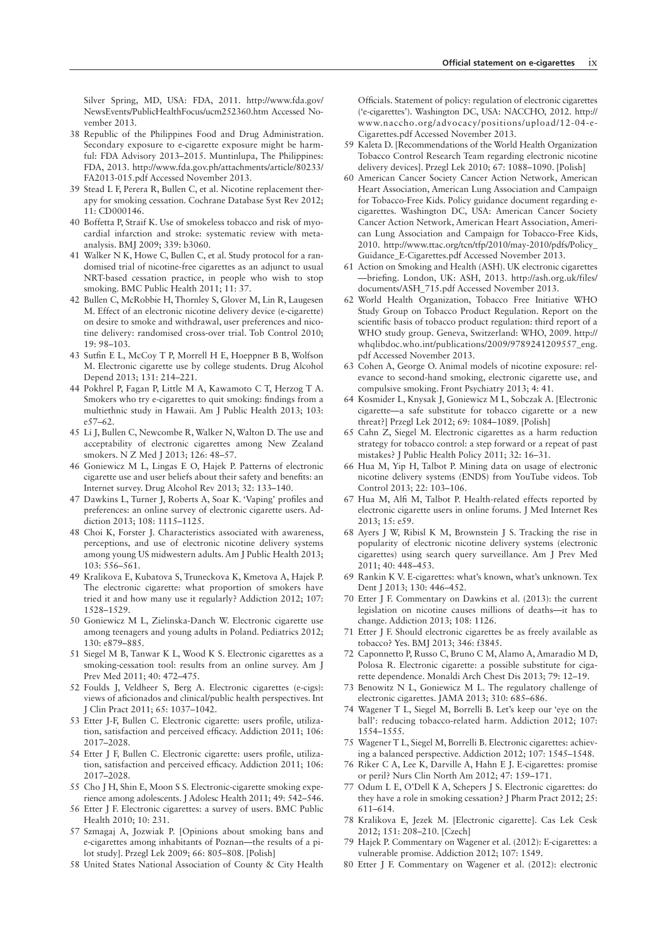Silver Spring, MD, USA: FDA, 2011. http://www.fda.gov/ NewsEvents/PublicHealthFocus/ucm252360.htm Accessed November 2013.

- 38 Republic of the Philippines Food and Drug Administration. Secondary exposure to e-cigarette exposure might be harmful: FDA Advisory 2013–2015. Muntinlupa, The Philippines: FDA, 2013. http://www.fda.gov.ph/attachments/article/80233/ FA2013-015.pdf Accessed November 2013.
- 39 Stead L F, Perera R, Bullen C, et al. Nicotine replacement therapy for smoking cessation. Cochrane Database Syst Rev 2012; 11: CD000146.
- 40 Boffetta P, Straif K. Use of smokeless tobacco and risk of myocardial infarction and stroke: systematic review with metaanalysis. BMJ 2009; 339: b3060.
- 41 Walker N K, Howe C, Bullen C, et al. Study protocol for a randomised trial of nicotine-free cigarettes as an adjunct to usual NRT-based cessation practice, in people who wish to stop smoking. BMC Public Health 2011; 11: 37.
- 42 Bullen C, McRobbie H, Thornley S, Glover M, Lin R, Laugesen M. Effect of an electronic nicotine delivery device (e-cigarette) on desire to smoke and withdrawal, user preferences and nicotine delivery: randomised cross-over trial. Tob Control 2010; 19: 98–103.
- 43 Sutfin E L, McCoy T P, Morrell H E, Hoeppner B B, Wolfson M. Electronic cigarette use by college students. Drug Alcohol Depend 2013; 131: 214–221.
- 44 Pokhrel P, Fagan P, Little M A, Kawamoto C T, Herzog T A. Smokers who try e-cigarettes to quit smoking: findings from a multiethnic study in Hawaii. Am J Public Health 2013; 103: e57–62.
- 45 Li J, Bullen C, Newcombe R, Walker N, Walton D. The use and acceptability of electronic cigarettes among New Zealand smokers. N Z Med J 2013; 126: 48–57.
- 46 Goniewicz M L, Lingas E O, Hajek P. Patterns of electronic cigarette use and user beliefs about their safety and benefits: an Internet survey. Drug Alcohol Rev 2013; 32: 133–140.
- 47 Dawkins L, Turner J, Roberts A, Soar K. 'Vaping' profiles and preferences: an online survey of electronic cigarette users. Addiction 2013; 108: 1115–1125.
- 48 Choi K, Forster J. Characteristics associated with awareness, perceptions, and use of electronic nicotine delivery systems among young US midwestern adults. Am J Public Health 2013; 103: 556–561.
- 49 Kralikova E, Kubatova S, Truneckova K, Kmetova A, Hajek P. The electronic cigarette: what proportion of smokers have tried it and how many use it regularly? Addiction 2012; 107: 1528–1529.
- 50 Goniewicz M L, Zielinska-Danch W. Electronic cigarette use among teenagers and young adults in Poland. Pediatrics 2012; 130: e879–885.
- 51 Siegel M B, Tanwar K L, Wood K S. Electronic cigarettes as a smoking-cessation tool: results from an online survey. Am J Prev Med 2011; 40: 472–475.
- 52 Foulds J, Veldheer S, Berg A. Electronic cigarettes (e-cigs): views of aficionados and clinical/public health perspectives. Int J Clin Pract 2011; 65: 1037–1042.
- 53 Etter J-F, Bullen C. Electronic cigarette: users profile, utilization, satisfaction and perceived efficacy. Addiction 2011; 106: 2017–2028.
- 54 Etter J F, Bullen C. Electronic cigarette: users profile, utilization, satisfaction and perceived efficacy. Addiction 2011; 106: 2017–2028.
- 55 Cho J H, Shin E, Moon S S. Electronic-cigarette smoking experience among adolescents. J Adolesc Health 2011; 49: 542–546.
- 56 Etter J F. Electronic cigarettes: a survey of users. BMC Public Health 2010; 10: 231.
- 57 Szmagaj A, Jozwiak P. [Opinions about smoking bans and e-cigarettes among inhabitants of Poznan—the results of a pilot study]. Przegl Lek 2009; 66: 805–808. [Polish]
- 58 United States National Association of County & City Health

Officials. Statement of policy: regulation of electronic cigarettes ('e-cigarettes'). Washington DC, USA: NACCHO, 2012. http:// www.naccho.org/advocacy/positions/upload/12-04-e-Cigarettes.pdf Accessed November 2013.

- 59 Kaleta D. [Recommendations of the World Health Organization Tobacco Control Research Team regarding electronic nicotine delivery devices]. Przegl Lek 2010; 67: 1088–1090. [Polish]
- 60 American Cancer Society Cancer Action Network, American Heart Association, American Lung Association and Campaign for Tobacco-Free Kids. Policy guidance document regarding ecigarettes. Washington DC, USA: American Cancer Society Cancer Action Network, American Heart Association, American Lung Association and Campaign for Tobacco-Free Kids, 2010. http://www.ttac.org/tcn/tfp/2010/may-2010/pdfs/Policy\_ Guidance\_E-Cigarettes.pdf Accessed November 2013.
- 61 Action on Smoking and Health (ASH). UK electronic cigarettes -briefing. London, UK: ASH, 2013. http://ash.org.uk/files/ documents/ASH\_715.pdf Accessed November 2013.
- 62 World Health Organization, Tobacco Free Initiative WHO Study Group on Tobacco Product Regulation. Report on the scientific basis of tobacco product regulation: third report of a WHO study group. Geneva, Switzerland: WHO, 2009. http:// whqlibdoc.who.int/publications/2009/9789241209557\_eng. pdf Accessed November 2013.
- 63 Cohen A, George O. Animal models of nicotine exposure: relevance to second-hand smoking, electronic cigarette use, and compulsive smoking. Front Psychiatry 2013; 4: 41.
- 64 Kosmider L, Knysak J, Goniewicz M L, Sobczak A. [Electronic cigarette—a safe substitute for tobacco cigarette or a new threat?] Przegl Lek 2012; 69: 1084–1089. [Polish]
- 65 Cahn Z, Siegel M. Electronic cigarettes as a harm reduction strategy for tobacco control: a step forward or a repeat of past mistakes? J Public Health Policy 2011; 32: 16–31.
- 66 Hua M, Yip H, Talbot P. Mining data on usage of electronic nicotine delivery systems (ENDS) from YouTube videos. Tob Control 2013; 22: 103–106.
- 67 Hua M, Alfi M, Talbot P. Health-related effects reported by electronic cigarette users in online forums. J Med Internet Res 2013; 15: e59.
- 68 Ayers J W, Ribisl K M, Brownstein J S. Tracking the rise in popularity of electronic nicotine delivery systems (electronic cigarettes) using search query surveillance. Am J Prev Med 2011; 40: 448–453.
- 69 Rankin K V. E-cigarettes: what's known, what's unknown. Tex Dent J 2013; 130: 446–452.
- 70 Etter J F. Commentary on Dawkins et al. (2013): the current legislation on nicotine causes millions of deaths—it has to change. Addiction 2013; 108: 1126.
- 71 Etter J F. Should electronic cigarettes be as freely available as tobacco? Yes. BMJ 2013; 346: f3845.
- 72 Caponnetto P, Russo C, Bruno C M, Alamo A, Amaradio M D, Polosa R. Electronic cigarette: a possible substitute for cigarette dependence. Monaldi Arch Chest Dis 2013; 79: 12–19.
- 73 Benowitz N L, Goniewicz M L. The regulatory challenge of electronic cigarettes. JAMA 2013; 310: 685–686.
- 74 Wagener T L, Siegel M, Borrelli B. Let's keep our 'eye on the ball': reducing tobacco-related harm. Addiction 2012; 107: 1554–1555.
- 75 Wagener T L, Siegel M, Borrelli B. Electronic cigarettes: achieving a balanced perspective. Addiction 2012; 107: 1545–1548.
- 76 Riker C A, Lee K, Darville A, Hahn E J. E-cigarettes: promise or peril? Nurs Clin North Am 2012; 47: 159–171.
- 77 Odum L E, O'Dell K A, Schepers J S. Electronic cigarettes: do they have a role in smoking cessation? J Pharm Pract 2012; 25: 611–614.
- 78 Kralikova E, Jezek M. [Electronic cigarette]. Cas Lek Cesk 2012; 151: 208–210. [Czech]
- 79 Hajek P. Commentary on Wagener et al. (2012): E-cigarettes: a vulnerable promise. Addiction 2012; 107: 1549.
- 80 Etter J F. Commentary on Wagener et al. (2012): electronic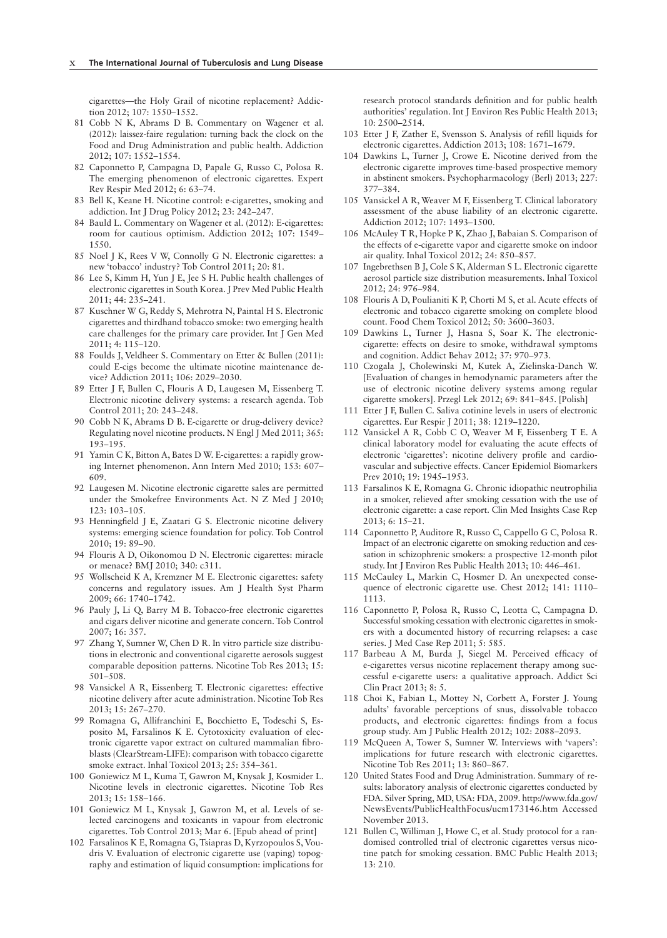cigarettes—the Holy Grail of nicotine replacement? Addiction 2012; 107: 1550–1552.

- 81 Cobb N K, Abrams D B. Commentary on Wagener et al. (2012): laissez-faire regulation: turning back the clock on the Food and Drug Administration and public health. Addiction 2012; 107: 1552–1554.
- 82 Caponnetto P, Campagna D, Papale G, Russo C, Polosa R. The emerging phenomenon of electronic cigarettes. Expert Rev Respir Med 2012; 6: 63–74.
- 83 Bell K, Keane H. Nicotine control: e-cigarettes, smoking and addiction. Int J Drug Policy 2012; 23: 242–247.
- 84 Bauld L. Commentary on Wagener et al. (2012): E-cigarettes: room for cautious optimism. Addiction 2012; 107: 1549– 1550.
- 85 Noel J K, Rees V W, Connolly G N. Electronic cigarettes: a new 'tobacco' industry? Tob Control 2011; 20: 81.
- 86 Lee S, Kimm H, Yun J E, Jee S H. Public health challenges of electronic cigarettes in South Korea. J Prev Med Public Health 2011; 44: 235–241.
- 87 Kuschner W G, Reddy S, Mehrotra N, Paintal H S. Electronic cigarettes and thirdhand tobacco smoke: two emerging health care challenges for the primary care provider. Int J Gen Med 2011; 4: 115–120.
- 88 Foulds J, Veldheer S. Commentary on Etter & Bullen (2011): could E-cigs become the ultimate nicotine maintenance device? Addiction 2011; 106: 2029–2030.
- 89 Etter J F, Bullen C, Flouris A D, Laugesen M, Eissenberg T. Electronic nicotine delivery systems: a research agenda. Tob Control 2011; 20: 243–248.
- 90 Cobb N K, Abrams D B. E-cigarette or drug-delivery device? Regulating novel nicotine products. N Engl J Med 2011; 365: 193–195.
- 91 Yamin C K, Bitton A, Bates D W. E-cigarettes: a rapidly growing Internet phenomenon. Ann Intern Med 2010; 153: 607– 609.
- 92 Laugesen M. Nicotine electronic cigarette sales are permitted under the Smokefree Environments Act. N Z Med J 2010; 123: 103–105.
- 93 Henningfield J E, Zaatari G S. Electronic nicotine delivery systems: emerging science foundation for policy. Tob Control 2010; 19: 89–90.
- 94 Flouris A D, Oikonomou D N. Electronic cigarettes: miracle or menace? BMJ 2010; 340: c311.
- 95 Wollscheid K A, Kremzner M E. Electronic cigarettes: safety concerns and regulatory issues. Am J Health Syst Pharm 2009; 66: 1740–1742.
- 96 Pauly J, Li Q, Barry M B. Tobacco-free electronic cigarettes and cigars deliver nicotine and generate concern. Tob Control 2007; 16: 357.
- 97 Zhang Y, Sumner W, Chen D R. In vitro particle size distributions in electronic and conventional cigarette aerosols suggest comparable deposition patterns. Nicotine Tob Res 2013; 15: 501–508.
- 98 Vansickel A R, Eissenberg T. Electronic cigarettes: effective nicotine delivery after acute administration. Nicotine Tob Res 2013; 15: 267–270.
- 99 Romagna G, Allifranchini E, Bocchietto E, Todeschi S, Esposito M, Farsalinos K E. Cytotoxicity evaluation of electronic cigarette vapor extract on cultured mammalian fibroblasts (ClearStream-LIFE): comparison with tobacco cigarette smoke extract. Inhal Toxicol 2013; 25: 354–361.
- 100 Goniewicz M L, Kuma T, Gawron M, Knysak J, Kosmider L. Nicotine levels in electronic cigarettes. Nicotine Tob Res 2013; 15: 158–166.
- 101 Goniewicz M L, Knysak J, Gawron M, et al. Levels of selected carcinogens and toxicants in vapour from electronic cigarettes. Tob Control 2013; Mar 6. [Epub ahead of print]
- 102 Farsalinos K E, Romagna G, Tsiapras D, Kyrzopoulos S, Voudris V. Evaluation of electronic cigarette use (vaping) topography and estimation of liquid consumption: implications for

research protocol standards definition and for public health authorities' regulation. Int J Environ Res Public Health 2013; 10: 2500–2514.

- 103 Etter J F, Zather E, Svensson S. Analysis of refill liquids for electronic cigarettes. Addiction 2013; 108: 1671–1679.
- 104 Dawkins L, Turner J, Crowe E. Nicotine derived from the electronic cigarette improves time-based prospective memory in abstinent smokers. Psychopharmacology (Berl) 2013; 227: 377–384.
- 105 Vansickel A R, Weaver M F, Eissenberg T. Clinical laboratory assessment of the abuse liability of an electronic cigarette. Addiction 2012; 107: 1493–1500.
- 106 McAuley T R, Hopke P K, Zhao J, Babaian S. Comparison of the effects of e-cigarette vapor and cigarette smoke on indoor air quality. Inhal Toxicol 2012; 24: 850–857.
- 107 Ingebrethsen B J, Cole S K, Alderman S L. Electronic cigarette aerosol particle size distribution measurements. Inhal Toxicol 2012; 24: 976–984.
- 108 Flouris A D, Poulianiti K P, Chorti M S, et al. Acute effects of electronic and tobacco cigarette smoking on complete blood count. Food Chem Toxicol 2012; 50: 3600–3603.
- 109 Dawkins L, Turner J, Hasna S, Soar K. The electroniccigarette: effects on desire to smoke, withdrawal symptoms and cognition. Addict Behav 2012; 37: 970–973.
- 110 Czogala J, Cholewinski M, Kutek A, Zielinska-Danch W. [Evaluation of changes in hemodynamic parameters after the use of electronic nicotine delivery systems among regular cigarette smokers]. Przegl Lek 2012; 69: 841–845. [Polish]
- 111 Etter J F, Bullen C. Saliva cotinine levels in users of electronic cigarettes. Eur Respir J 2011; 38: 1219–1220.
- 112 Vansickel A R, Cobb C O, Weaver M F, Eissenberg T E. A clinical laboratory model for evaluating the acute effects of electronic 'cigarettes': nicotine delivery profile and cardiovascular and subjective effects. Cancer Epidemiol Biomarkers Prev 2010; 19: 1945–1953.
- 113 Farsalinos K E, Romagna G. Chronic idiopathic neutrophilia in a smoker, relieved after smoking cessation with the use of electronic cigarette: a case report. Clin Med Insights Case Rep 2013; 6: 15–21.
- 114 Caponnetto P, Auditore R, Russo C, Cappello G C, Polosa R. Impact of an electronic cigarette on smoking reduction and cessation in schizophrenic smokers: a prospective 12-month pilot study. Int J Environ Res Public Health 2013; 10: 446–461.
- 115 McCauley L, Markin C, Hosmer D. An unexpected consequence of electronic cigarette use. Chest 2012; 141: 1110– 1113.
- 116 Caponnetto P, Polosa R, Russo C, Leotta C, Campagna D. Successful smoking cessation with electronic cigarettes in smokers with a documented history of recurring relapses: a case series. J Med Case Rep 2011; 5: 585.
- 117 Barbeau A M, Burda J, Siegel M. Perceived efficacy of e-cigarettes versus nicotine replacement therapy among successful e-cigarette users: a qualitative approach. Addict Sci Clin Pract 2013; 8: 5.
- 118 Choi K, Fabian L, Mottey N, Corbett A, Forster J. Young adults' favorable perceptions of snus, dissolvable tobacco products, and electronic cigarettes: findings from a focus group study. Am J Public Health 2012; 102: 2088–2093.
- 119 McQueen A, Tower S, Sumner W. Interviews with 'vapers': implications for future research with electronic cigarettes. Nicotine Tob Res 2011; 13: 860–867.
- 120 United States Food and Drug Administration. Summary of results: laboratory analysis of electronic cigarettes conducted by FDA. Silver Spring, MD, USA: FDA, 2009. http://www.fda.gov/ NewsEvents/PublicHealthFocus/ucm173146.htm Accessed November 2013.
- 121 Bullen C, Williman J, Howe C, et al. Study protocol for a randomised controlled trial of electronic cigarettes versus nicotine patch for smoking cessation. BMC Public Health 2013; 13: 210.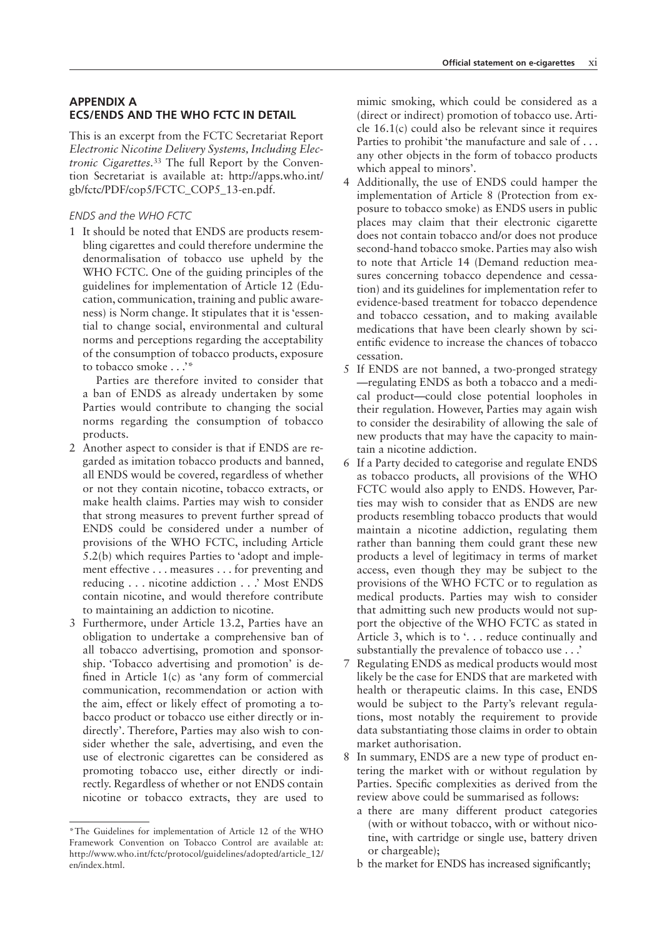## **APPENDIX A ECS/ENDS AND THE WHO FCTC IN DETAIL**

This is an excerpt from the FCTC Secretariat Report *Electronic Nicotine Delivery Systems, Including Electronic Cigarettes.*<sup>33</sup> The full Report by the Convention Secretariat is available at: http://apps.who.int/ gb/fctc/PDF/cop5/FCTC\_COP5\_13-en.pdf.

### *ENDS and the WHO FCTC*

1 It should be noted that ENDS are products resembling cigarettes and could therefore undermine the denormalisation of tobacco use upheld by the WHO FCTC. One of the guiding principles of the guidelines for implementation of Article 12 (Education, communication, training and public awareness) is Norm change. It stipulates that it is 'essential to change social, environmental and cultural norms and perceptions regarding the acceptability of the consumption of tobacco products, exposure to tobacco smoke . . .'\*

Parties are therefore invited to consider that a ban of ENDS as already undertaken by some Parties would contribute to changing the social norms regarding the consumption of tobacco products.

- 2 Another aspect to consider is that if ENDS are regarded as imitation tobacco products and banned, all ENDS would be covered, regardless of whether or not they contain nicotine, tobacco extracts, or make health claims. Parties may wish to consider that strong measures to prevent further spread of ENDS could be considered under a number of provisions of the WHO FCTC, including Article 5.2(b) which requires Parties to 'adopt and implement effective . . . measures . . . for preventing and reducing . . . nicotine addiction . . .' Most ENDS contain nicotine, and would therefore contribute to maintaining an addiction to nicotine.
- 3 Furthermore, under Article 13.2, Parties have an obligation to undertake a comprehensive ban of all tobacco advertising, promotion and sponsorship. 'Tobacco advertising and promotion' is defined in Article  $1(c)$  as 'any form of commercial communication, recommendation or action with the aim, effect or likely effect of promoting a tobacco product or tobacco use either directly or indirectly'. Therefore, Parties may also wish to consider whether the sale, advertising, and even the use of electronic cigarettes can be considered as promoting tobacco use, either directly or indirectly. Regardless of whether or not ENDS contain nicotine or tobacco extracts, they are used to

mimic smoking, which could be considered as a (direct or indirect) promotion of tobacco use. Article 16.1(c) could also be relevant since it requires Parties to prohibit 'the manufacture and sale of . . . any other objects in the form of tobacco products which appeal to minors'.

- 4 Additionally, the use of ENDS could hamper the implementation of Article 8 (Protection from exposure to tobacco smoke) as ENDS users in public places may claim that their electronic cigarette does not contain tobacco and/or does not produce second-hand tobacco smoke. Parties may also wish to note that Article 14 (Demand reduction measures concerning tobacco dependence and cessation) and its guidelines for implementation refer to evidence-based treatment for tobacco dependence and tobacco cessation, and to making available medications that have been clearly shown by scientific evidence to increase the chances of tobacco cessation.
- 5 If ENDS are not banned, a two-pronged strategy —regulating ENDS as both a tobacco and a medical product—could close potential loopholes in their regulation. However, Parties may again wish to consider the desirability of allowing the sale of new products that may have the capacity to maintain a nicotine addiction.
- 6 If a Party decided to categorise and regulate ENDS as tobacco products, all provisions of the WHO FCTC would also apply to ENDS. However, Parties may wish to consider that as ENDS are new products resembling tobacco products that would maintain a nicotine addiction, regulating them rather than banning them could grant these new products a level of legitimacy in terms of market access, even though they may be subject to the provisions of the WHO FCTC or to regulation as medical products. Parties may wish to consider that admitting such new products would not support the objective of the WHO FCTC as stated in Article 3, which is to '... reduce continually and substantially the prevalence of tobacco use . . .'
- 7 Regulating ENDS as medical products would most likely be the case for ENDS that are marketed with health or therapeutic claims. In this case, ENDS would be subject to the Party's relevant regulations, most notably the requirement to provide data substantiating those claims in order to obtain market authorisation.
- 8 In summary, ENDS are a new type of product entering the market with or without regulation by Parties. Specific complexities as derived from the review above could be summarised as follows:
	- a there are many different product categories (with or without tobacco, with or without nicotine, with cartridge or single use, battery driven or chargeable);
	- b the market for ENDS has increased significantly;

<sup>\*</sup>The Guidelines for implementation of Article 12 of the WHO Framework Convention on Tobacco Control are available at: http://www.who.int/fctc/protocol/guidelines/adopted/article\_12/ en/index.html.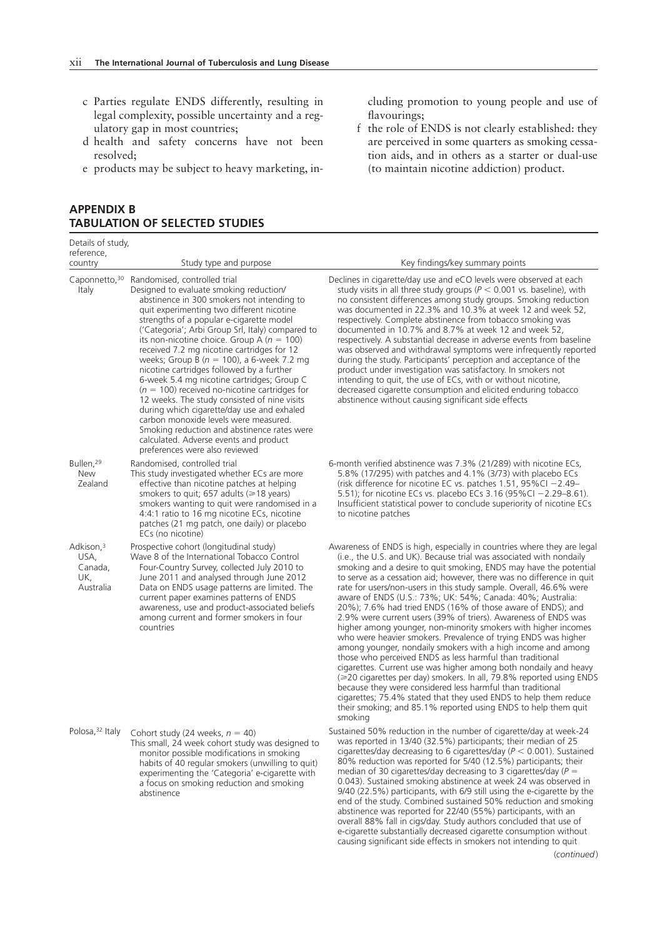- c Parties regulate ENDS differently, resulting in legal complexity, possible uncertainty and a regulatory gap in most countries;
- d health and safety concerns have not been resolved;
- e products may be subject to heavy marketing, in-

## **APPENDIX B TABULATION OF SELECTED STUDIES**

Details of study, reference,<br>country Study type and purpose The Key findings/key summary points Caponnetto,<sup>30</sup> Randomised, controlled trial Italy Designed to evaluate smoking reduction/ abstinence in 300 smokers not intending to quit experimenting two different nicotine strengths of a popular e-cigarette model ('Categoria'; Arbi Group Srl, Italy) compared to its non-nicotine choice. Group A (*n* = 100) received 7.2 mg nicotine cartridges for 12 weeks; Group B (*n* = 100), a 6-week 7.2 mg nicotine cartridges followed by a further 6-week 5.4 mg nicotine cartridges; Group C (*n* = 100) received no-nicotine cartridges for 12 weeks. The study consisted of nine visits during which cigarette/day use and exhaled carbon monoxide levels were measured. Smoking reduction and abstinence rates were calculated. Adverse events and product preferences were also reviewed Declines in cigarette/day use and eCO levels were observed at each study visits in all three study groups (*P* < 0.001 vs. baseline), with no consistent differences among study groups. Smoking reduction was documented in 22.3% and 10.3% at week 12 and week 52, respectively. Complete abstinence from tobacco smoking was documented in 10.7% and 8.7% at week 12 and week 52, respectively. A substantial decrease in adverse events from baseline was observed and withdrawal symptoms were infrequently reported during the study. Participants' perception and acceptance of the product under investigation was satisfactory. In smokers not intending to quit, the use of ECs, with or without nicotine, decreased cigarette consumption and elicited enduring tobacco abstinence without causing significant side effects Bullen,29 **New** Zealand Randomised, controlled trial This study investigated whether ECs are more effective than nicotine patches at helping smokers to quit; 657 adults ( $\geq 18$  years) smokers wanting to quit were randomised in a 4:4:1 ratio to 16 mg nicotine ECs, nicotine patches (21 mg patch, one daily) or placebo ECs (no nicotine) 6-month verified abstinence was 7.3% (21/289) with nicotine ECs, 5.8% (17/295) with patches and 4.1% (3/73) with placebo ECs (risk difference for nicotine EC vs. patches 1.51, 95%CI −2.49– 5.51); for nicotine ECs vs. placebo ECs 3.16 (95%CI −2.29–8.61). Insufficient statistical power to conclude superiority of nicotine ECs to nicotine patches Adkison,3 USA, Canada, UK, Australia Prospective cohort (longitudinal study) Wave 8 of the International Tobacco Control Four-Country Survey, collected July 2010 to June 2011 and analysed through June 2012 Data on ENDS usage patterns are limited. The current paper examines patterns of ENDS awareness, use and product-associated beliefs among current and former smokers in four countries Awareness of ENDS is high, especially in countries where they are legal (i.e., the U.S. and UK). Because trial was associated with nondaily smoking and a desire to quit smoking, ENDS may have the potential to serve as a cessation aid; however, there was no difference in quit rate for users/non-users in this study sample. Overall, 46.6% were aware of ENDS (U.S.: 73%; UK: 54%; Canada: 40%; Australia: 20%); 7.6% had tried ENDS (16% of those aware of ENDS); and 2.9% were current users (39% of triers). Awareness of ENDS was higher among younger, non-minority smokers with higher incomes who were heavier smokers. Prevalence of trying ENDS was higher among younger, nondaily smokers with a high income and among those who perceived ENDS as less harmful than traditional cigarettes. Current use was higher among both nondaily and heavy  $\approx$  20 cigarettes per day) smokers. In all, 79.8% reported using ENDS because they were considered less harmful than traditional cigarettes; 75.4% stated that they used ENDS to help them reduce their smoking; and 85.1% reported using ENDS to help them quit smoking Polosa,<sup>32</sup> Italy Cohort study (24 weeks,  $n = 40$ ) This small, 24 week cohort study was designed to monitor possible modifications in smoking habits of 40 regular smokers (unwilling to quit) experimenting the 'Categoria' e-cigarette with a focus on smoking reduction and smoking abstinence Sustained 50% reduction in the number of cigarette/day at week-24 was reported in 13/40 (32.5%) participants; their median of 25 cigarettes/day decreasing to 6 cigarettes/day (*P* < 0.001). Sustained 80% reduction was reported for 5/40 (12.5%) participants; their median of 30 cigarettes/day decreasing to 3 cigarettes/day (*P* = 0.043). Sustained smoking abstinence at week 24 was observed in 9/40 (22.5%) participants, with 6/9 still using the e-cigarette by the end of the study. Combined sustained 50% reduction and smoking abstinence was reported for 22/40 (55%) participants, with an overall 88% fall in cigs/day. Study authors concluded that use of e-cigarette substantially decreased cigarette consumption without causing significant side effects in smokers not intending to quit

cluding promotion to young people and use of flavourings;

f the role of ENDS is not clearly established: they are perceived in some quarters as smoking cessation aids, and in others as a starter or dual-use (to maintain nicotine addiction) product.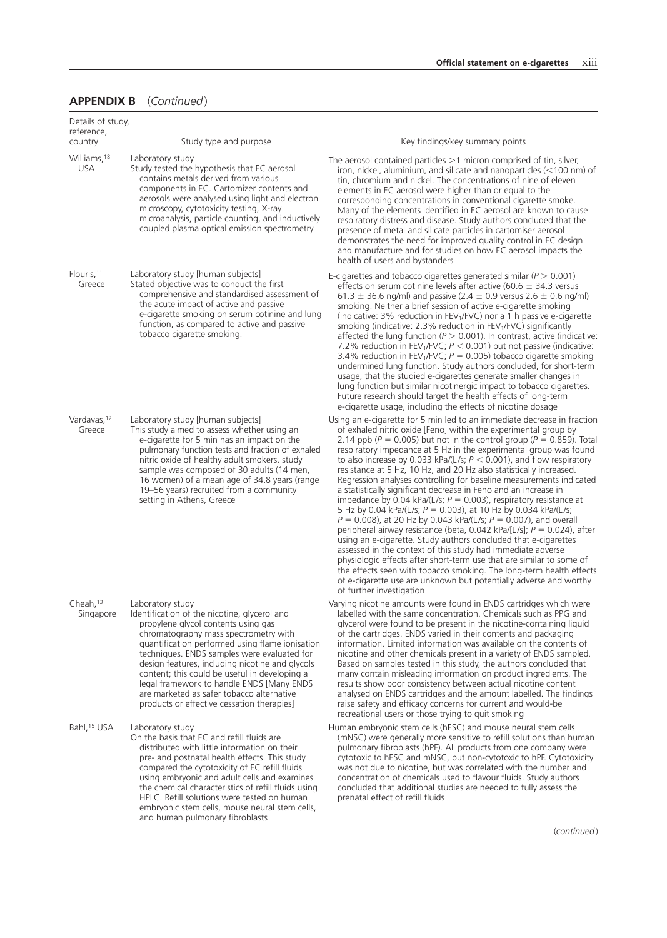| Details of study,<br>reference,   |                                                                                                                                                                                                                                                                                                                                                                                                                                                                                                |                                                                                                                                                                                                                                                                                                                                                                                                                                                                                                                                                                                                                                                                                                                                                                                                                                                                                                                                                                                                                                                                                                                                                                                                                                                                                 |
|-----------------------------------|------------------------------------------------------------------------------------------------------------------------------------------------------------------------------------------------------------------------------------------------------------------------------------------------------------------------------------------------------------------------------------------------------------------------------------------------------------------------------------------------|---------------------------------------------------------------------------------------------------------------------------------------------------------------------------------------------------------------------------------------------------------------------------------------------------------------------------------------------------------------------------------------------------------------------------------------------------------------------------------------------------------------------------------------------------------------------------------------------------------------------------------------------------------------------------------------------------------------------------------------------------------------------------------------------------------------------------------------------------------------------------------------------------------------------------------------------------------------------------------------------------------------------------------------------------------------------------------------------------------------------------------------------------------------------------------------------------------------------------------------------------------------------------------|
| country                           | Study type and purpose                                                                                                                                                                                                                                                                                                                                                                                                                                                                         | Key findings/key summary points                                                                                                                                                                                                                                                                                                                                                                                                                                                                                                                                                                                                                                                                                                                                                                                                                                                                                                                                                                                                                                                                                                                                                                                                                                                 |
| Williams, 18<br><b>USA</b>        | Laboratory study<br>Study tested the hypothesis that EC aerosol<br>contains metals derived from various<br>components in EC. Cartomizer contents and<br>aerosols were analysed using light and electron<br>microscopy, cytotoxicity testing, X-ray<br>microanalysis, particle counting, and inductively<br>coupled plasma optical emission spectrometry                                                                                                                                        | The aerosol contained particles $>1$ micron comprised of tin, silver,<br>iron, nickel, aluminium, and silicate and nanoparticles (<100 nm) of<br>tin, chromium and nickel. The concentrations of nine of eleven<br>elements in EC aerosol were higher than or equal to the<br>corresponding concentrations in conventional cigarette smoke.<br>Many of the elements identified in EC aerosol are known to cause<br>respiratory distress and disease. Study authors concluded that the<br>presence of metal and silicate particles in cartomiser aerosol<br>demonstrates the need for improved quality control in EC design<br>and manufacture and for studies on how EC aerosol impacts the<br>health of users and bystanders                                                                                                                                                                                                                                                                                                                                                                                                                                                                                                                                                   |
| Flouris, 11<br>Greece             | Laboratory study [human subjects]<br>Stated objective was to conduct the first<br>comprehensive and standardised assessment of<br>the acute impact of active and passive<br>e-cigarette smoking on serum cotinine and lung<br>function, as compared to active and passive<br>tobacco cigarette smoking.                                                                                                                                                                                        | E-cigarettes and tobacco cigarettes generated similar ( $P > 0.001$ )<br>effects on serum cotinine levels after active (60.6 $\pm$ 34.3 versus<br>61.3 $\pm$ 36.6 ng/ml) and passive (2.4 $\pm$ 0.9 versus 2.6 $\pm$ 0.6 ng/ml)<br>smoking. Neither a brief session of active e-cigarette smoking<br>(indicative: $3\%$ reduction in FEV <sub>1</sub> /FVC) nor a 1 h passive e-cigarette<br>smoking (indicative: 2.3% reduction in $FEV1/FVC$ ) significantly<br>affected the lung function ( $P > 0.001$ ). In contrast, active (indicative:<br>7.2% reduction in FEV <sub>1</sub> /FVC; $P < 0.001$ ) but not passive (indicative:<br>3.4% reduction in FEV <sub>1</sub> /FVC; $P = 0.005$ ) tobacco cigarette smoking<br>undermined lung function. Study authors concluded, for short-term<br>usage, that the studied e-cigarettes generate smaller changes in<br>lung function but similar nicotinergic impact to tobacco cigarettes.<br>Future research should target the health effects of long-term<br>e-cigarette usage, including the effects of nicotine dosage                                                                                                                                                                                                      |
| Vardavas, 12<br>Greece            | Laboratory study [human subjects]<br>This study aimed to assess whether using an<br>e-cigarette for 5 min has an impact on the<br>pulmonary function tests and fraction of exhaled<br>nitric oxide of healthy adult smokers. study<br>sample was composed of 30 adults (14 men,<br>16 women) of a mean age of 34.8 years (range<br>19-56 years) recruited from a community<br>setting in Athens, Greece                                                                                        | Using an e-cigarette for 5 min led to an immediate decrease in fraction<br>of exhaled nitric oxide [Feno] within the experimental group by<br>2.14 ppb ( $P = 0.005$ ) but not in the control group ( $P = 0.859$ ). Total<br>respiratory impedance at 5 Hz in the experimental group was found<br>to also increase by 0.033 kPa/(L/s; $P < 0.001$ ), and flow respiratory<br>resistance at 5 Hz, 10 Hz, and 20 Hz also statistically increased.<br>Regression analyses controlling for baseline measurements indicated<br>a statistically significant decrease in Feno and an increase in<br>impedance by 0.04 kPa/(L/s; $P = 0.003$ ), respiratory resistance at<br>5 Hz by 0.04 kPa/(L/s; $P = 0.003$ ), at 10 Hz by 0.034 kPa/(L/s;<br>$P = 0.008$ ), at 20 Hz by 0.043 kPa/(L/s; $P = 0.007$ ), and overall<br>peripheral airway resistance (beta, 0.042 kPa/[L/s]; $P = 0.024$ ), after<br>using an e-cigarette. Study authors concluded that e-cigarettes<br>assessed in the context of this study had immediate adverse<br>physiologic effects after short-term use that are similar to some of<br>the effects seen with tobacco smoking. The long-term health effects<br>of e-cigarette use are unknown but potentially adverse and worthy<br>of further investigation |
| Cheah. <sup>13</sup><br>Singapore | Laboratory study<br>Identification of the nicotine, glycerol and<br>propylene glycol contents using gas<br>chromatography mass spectrometry with<br>quantification performed using flame ionisation<br>techniques. ENDS samples were evaluated for<br>design features, including nicotine and glycols<br>content; this could be useful in developing a<br>legal framework to handle ENDS [Many ENDS<br>are marketed as safer tobacco alternative<br>products or effective cessation therapies] | Varying nicotine amounts were found in ENDS cartridges which were<br>labelled with the same concentration. Chemicals such as PPG and<br>glycerol were found to be present in the nicotine-containing liquid<br>of the cartridges. ENDS varied in their contents and packaging<br>information. Limited information was available on the contents of<br>nicotine and other chemicals present in a variety of ENDS sampled.<br>Based on samples tested in this study, the authors concluded that<br>many contain misleading information on product ingredients. The<br>results show poor consistency between actual nicotine content<br>analysed on ENDS cartridges and the amount labelled. The findings<br>raise safety and efficacy concerns for current and would-be<br>recreational users or those trying to quit smoking                                                                                                                                                                                                                                                                                                                                                                                                                                                     |
| Bahl, <sup>15</sup> USA           | Laboratory study<br>On the basis that EC and refill fluids are<br>distributed with little information on their<br>pre- and postnatal health effects. This study<br>compared the cytotoxicity of EC refill fluids<br>using embryonic and adult cells and examines<br>the chemical characteristics of refill fluids using<br>HPLC. Refill solutions were tested on human<br>embryonic stem cells, mouse neural stem cells,<br>and human pulmonary fibroblasts                                    | Human embryonic stem cells (hESC) and mouse neural stem cells<br>(mNSC) were generally more sensitive to refill solutions than human<br>pulmonary fibroblasts (hPF). All products from one company were<br>cytotoxic to hESC and mNSC, but non-cytotoxic to hPF. Cytotoxicity<br>was not due to nicotine, but was correlated with the number and<br>concentration of chemicals used to flavour fluids. Study authors<br>concluded that additional studies are needed to fully assess the<br>prenatal effect of refill fluids                                                                                                                                                                                                                                                                                                                                                                                                                                                                                                                                                                                                                                                                                                                                                    |
|                                   |                                                                                                                                                                                                                                                                                                                                                                                                                                                                                                | (continued)                                                                                                                                                                                                                                                                                                                                                                                                                                                                                                                                                                                                                                                                                                                                                                                                                                                                                                                                                                                                                                                                                                                                                                                                                                                                     |

# **APPENDIX B** (*Continued* )